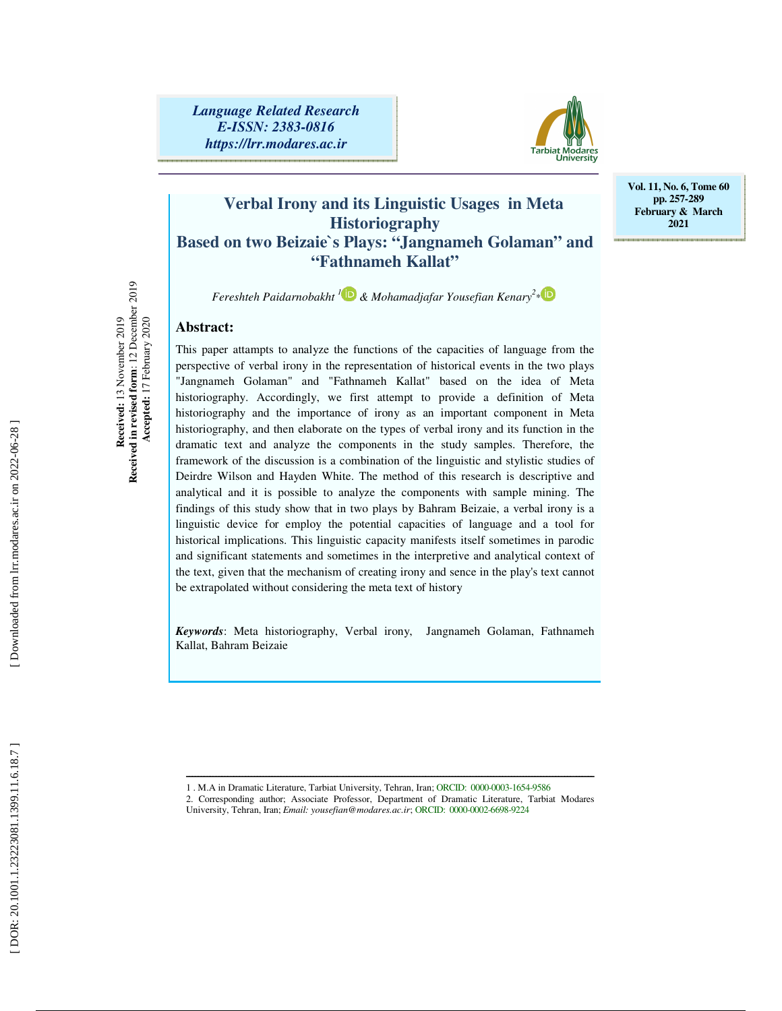*Language Related Research E-ISSN: 2383-0816 https://lrr.modares.ac.ir*



**Vol. 11, No. 6, Tome 60 pp. 257-289 February & March 2021** 

### **Verbal Irony and its Linguistic Usages in Meta Historiography Based on two Beizaie`s Plays: "Jangnameh Golaman" and "Fathnameh Kallat"**

*Fereshteh Paidarnobakht 1 & Mohamadjafar Yousefian Kenary 2* \*

#### **Abstract:**

Received: 13 November 2019<br>Received in revised form: 12 December 2019 **Received in revised form**: 12 December 2019 **Received:** 13 November 2019  **Accepted:** 17 February 2020 Accepted: 17 February 2020

This paper attampts to analyze the functions of the capacities of language from the perspective of verbal irony in the representation of historical events in the two plays "Jangnameh Golaman" and "Fathnameh Kallat" based on the idea of Meta historiography. Accordingly, we first attempt to provide a definition of Meta historiography and the importance of irony as an important component in Meta historiography, and then elaborate on the types of verbal irony and its function in the dramatic text and analyze the components in the study samples. Therefore, the framework of the discussion is a combination of the linguistic and stylistic studies of Deirdre Wilson and Hayden White. The method of this research is descriptive and analytical and it is possible to analyze the components with sample mining. The findings of this study show that in two plays by Bahram Beizaie, a verbal irony is a linguistic device for employ the potential capacities of language and a tool for historical implications. This linguistic capacity manifests itself sometimes in parodic and significant statements and sometimes in the interpretive and analytical context of the text, given that the mechanism of creating irony and sence in the play's text cannot be extrapolated without considering the meta text of history

*Keywords*: Meta historiography, Verbal irony, Jangnameh Golaman, Fathnameh Kallat, Bahram Beizaie

ــــــــــــــــــــــــــــــــــــــــــــــــــــــــــــــــــــــــــــــــــــــــــــــــــــــــــــــــــــــــــــــــــــــــــ

<sup>1 .</sup> M.A in Dramatic Literature, Tarbiat University, Tehran, Iran; ORCID: 0000-0003-1654-9586

<sup>2.</sup> Corresponding author; Associate Professor, Department of Dramatic Literature, Tarbiat Modares University, Tehran, Iran; *Email: yousefian@modares.ac.ir*; ORCID: 0000-0002-6698-9224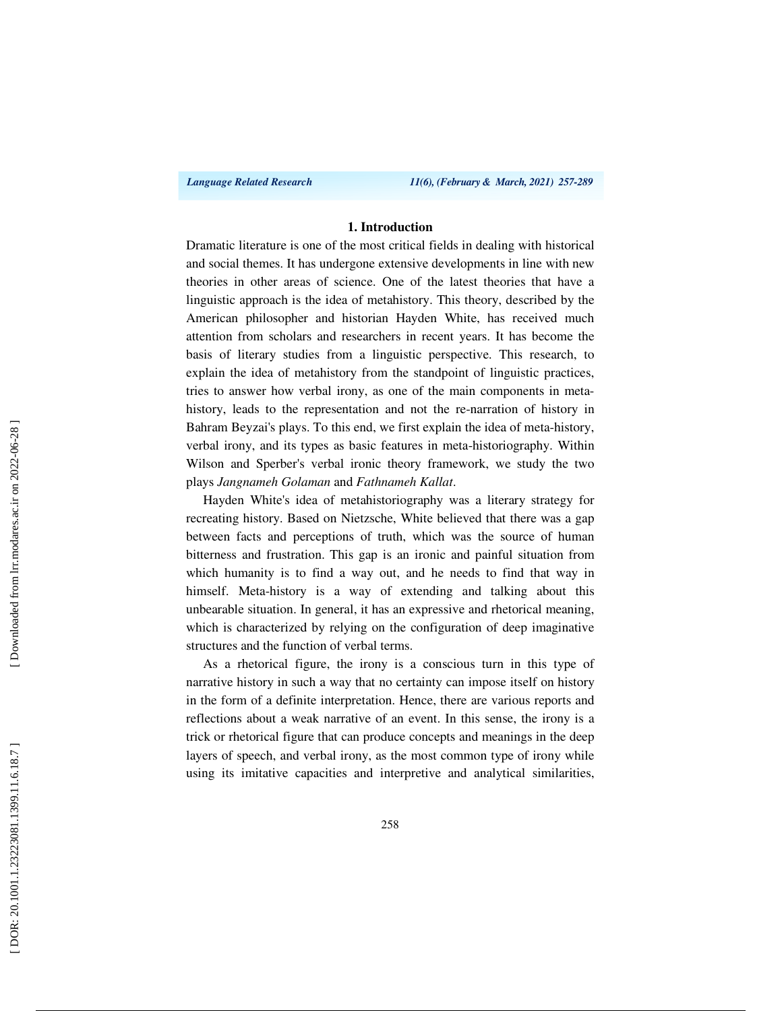*Language Related Research 11(6), (February & March, 2021) 257-289*

#### **1. Introduction**

Dramatic literature is one of the most critical fields in dealing with historical and social themes. It has undergone extensive developments in line with new theories in other areas of science. One of the latest theories that have a linguistic approach is the idea of metahistory. This theory, described by the American philosopher and historian Hayden White, has received much attention from scholars and researchers in recent years. It has become the basis of literary studies from a linguistic perspective. This research, to explain the idea of metahistory from the standpoint of linguistic practices, tries to answer how verbal irony, as one of the main components in metahistory, leads to the representation and not the re-narration of history in Bahram Beyzai's plays. To this end, we first explain the idea of meta-history, verbal irony, and its types as basic features in meta-historiography. Within Wilson and Sperber's verbal ironic theory framework, we study the two plays *Jangnameh Golaman* and *Fathnameh Kallat*.

Hayden White's idea of metahistoriography was a literary strategy for recreating history. Based on Nietzsche, White believed that there was a gap between facts and perceptions of truth, which was the source of human bitterness and frustration. This gap is an ironic and painful situation from which humanity is to find a way out, and he needs to find that way in himself. Meta-history is a way of extending and talking about this unbearable situation. In general, it has an expressive and rhetorical meaning, which is characterized by relying on the configuration of deep imaginative structures and the function of verbal terms.

As a rhetorical figure, the irony is a conscious turn in this type of narrative history in such a way that no certainty can impose itself on history in the form of a definite interpretation. Hence, there are various reports and reflections about a weak narrative of an event. In this sense, the irony is a trick or rhetorical figure that can produce concepts and meanings in the deep layers of speech, and verbal irony, as the most common type of irony while using its imitative capacities and interpretive and analytical similarities,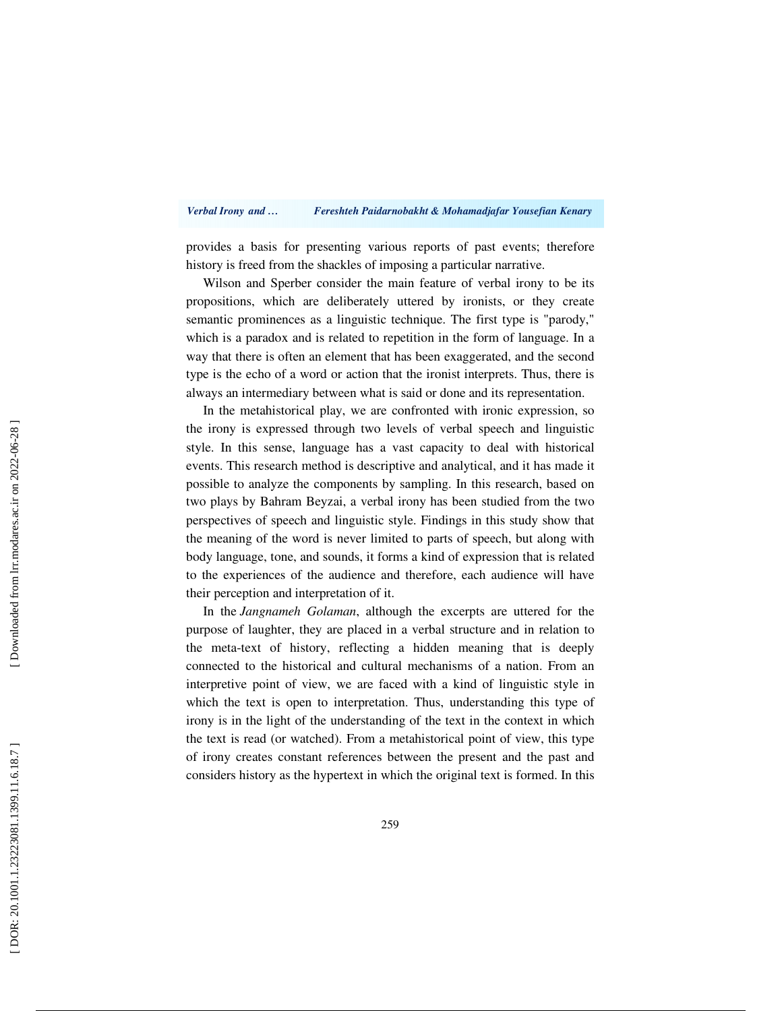#### *Verbal Irony and … Fereshteh Paidarnobakht & Mohamadjafar Yousefian Kenary*

provides a basis for presenting various reports of past events; therefore history is freed from the shackles of imposing a particular narrative.

Wilson and Sperber consider the main feature of verbal irony to be its propositions, which are deliberately uttered by ironists, or they create semantic prominences as a linguistic technique. The first type is "parody," which is a paradox and is related to repetition in the form of language. In a way that there is often an element that has been exaggerated, and the second type is the echo of a word or action that the ironist interprets. Thus, there is always an intermediary between what is said or done and its representation.

In the metahistorical play, we are confronted with ironic expression, so the irony is expressed through two levels of verbal speech and linguistic style. In this sense, language has a vast capacity to deal with historical events. This research method is descriptive and analytical, and it has made it possible to analyze the components by sampling. In this research, based on two plays by Bahram Beyzai, a verbal irony has been studied from the two perspectives of speech and linguistic style. Findings in this study show that the meaning of the word is never limited to parts of speech, but along with body language, tone, and sounds, it forms a kind of expression that is related to the experiences of the audience and therefore, each audience will have their perception and interpretation of it.

In the *Jangnameh Golaman*, although the excerpts are uttered for the purpose of laughter, they are placed in a verbal structure and in relation to the meta-text of history, reflecting a hidden meaning that is deeply connected to the historical and cultural mechanisms of a nation. From an interpretive point of view, we are faced with a kind of linguistic style in which the text is open to interpretation. Thus, understanding this type of irony is in the light of the understanding of the text in the context in which the text is read (or watched). From a metahistorical point of view, this type of irony creates constant references between the present and the past and considers history as the hypertext in which the original text is formed. In this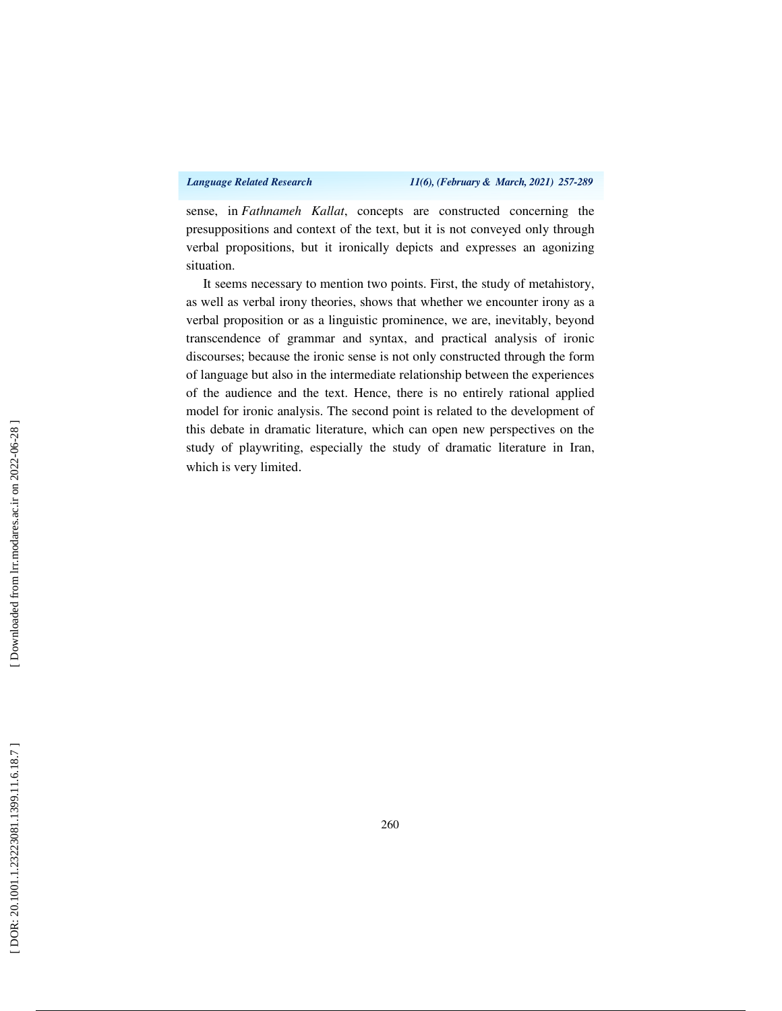sense, in *Fathnameh Kallat*, concepts are constructed concerning the presuppositions and context of the text, but it is not conveyed only through verbal propositions, but it ironically depicts and expresses an agonizing situation.

It seems necessary to mention two points. First, the study of metahistory, as well as verbal irony theories, shows that whether we encounter irony as a verbal proposition or as a linguistic prominence, we are, inevitably, beyond transcendence of grammar and syntax, and practical analysis of ironic discourses; because the ironic sense is not only constructed through the form of language but also in the intermediate relationship between the experiences of the audience and the text. Hence, there is no entirely rational applied model for ironic analysis. The second point is related to the development of this debate in dramatic literature, which can open new perspectives on the study of playwriting, especially the study of dramatic literature in Iran, which is very limited.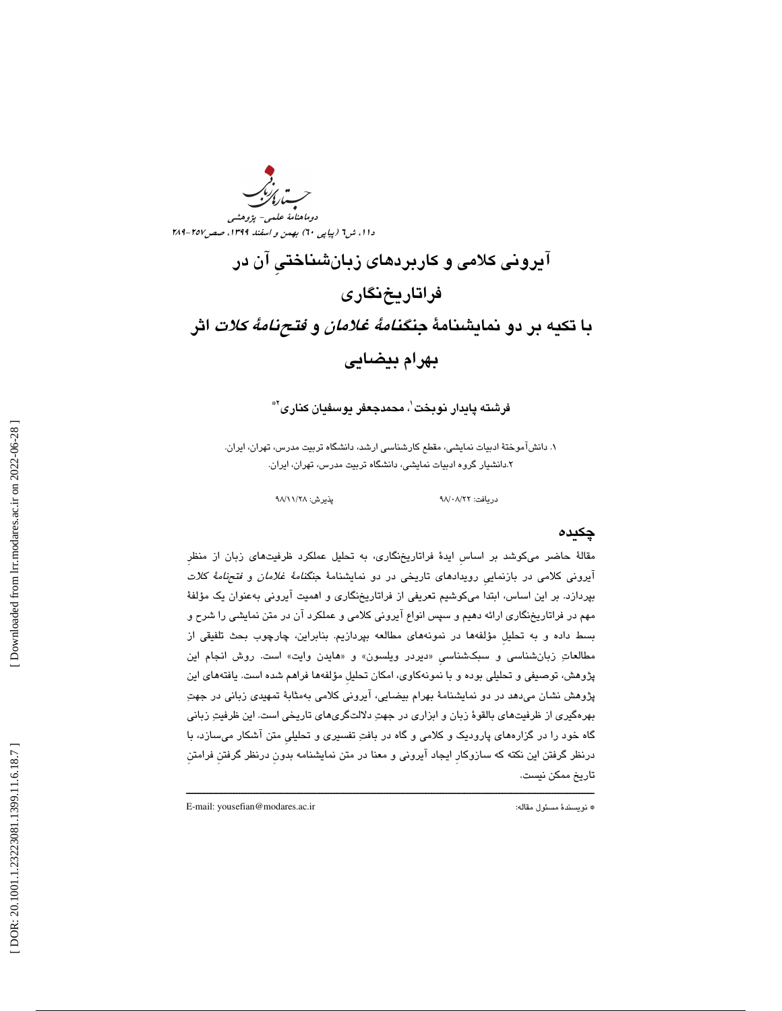ر<br>سارىرىدىكى دوماهنامة علمي- پژوهشي دا ۱، ش1 (پياپی ٦٠) بهمن و اسفند ١٣٩٩، صص١٥٧-٢٨٩

# آيروني كلامي و كاربردهاي زبانشناختيِ آن در فراتاريخنگاري با تكيه بر دو نمايشنامهٔ *جنگنامهٔ غلامان و فتحنامهٔ كلات* اثر بهرام بيضايي

فرشته پايدار نوبخت ٰ، محمدجعفر يوسفيان كنارى َّ

 1. دانشآموختة ادبيات نمايشي، مقطع كارشناسي ارشد، دانشگاه تربيت مدرس، تهران، ايران. 2. دانشيار گروه ادبيات نمايشي، دانشگاه تربيت مدرس، تهران، ايران.

98 پذيرش: 28/ 11/ 98

#### دريافت: ۰۸/۲۲/

#### چكيده

مقالة حاضر ميكوشد بر اساسِ ايدة فراتاريخنگاري، به تحليل عملكرد ظرفيتهاي زبان از منظرِ آيروني كلامي در بازنماييِ رويدادهاي تاريخي در دو نمايشنامة جنگنامة غلامان و فتحنامة كلات بپردازد. بر اين اساس، ابتدا ميكوشيم تعريفي از فراتاريخنگاري و اهميت آيروني بهعنوان يك مؤلفة مهم در فراتاريخنگاري ارائه دهيم و سپس انواع آيروني كلامي و عملكرد آن در متن نمايشي را شرح و بسط داده و به تحليلِ مؤلفهها در نمونههاي مطالعه بپردازيم. بنابراين، چارچوب بحث تلفيقي از مطالعاتِ زبانشناسي و سبکشناسي «ديردر ويلسون» و «هايدن وايت» است. روش انجام اين پژوهش، توصيفي و تحليلي بوده و با نمونهكاوي، امكان تحليل مؤلفهها فراهم شده است. يافتههاي اين پژوهش نشان ميدهد در دو نمايشنامة بهرام بيضايي، آيروني كلامي بهمثابة تمهيدي زباني در جهت بهرهگيري از ظرفيتهاي بالقوة زبان و ابزاري در جهت دلالتگريهاي تاريخي است. اين ظرفيت زباني گاه خود را در گزارههاي پاروديك و كلامي و گاه در بافت تفسيري و تحليليِ متن آشكار ميسازد، با درنظر گرفتن اين نكته كه سازوكارِ ايجاد آيروني و معنا در متن نمايشنامه بدونِ درنظر گرفتنِ فرامتنِ تاريخ ممكن نيست.

ــــــــــــــــــــــــــــــــــــــــــــــــــــــــــــــــــــــــــــــــــــــــــــــــــــــــــــــــــــــــــــــــــــــــــ

E-mail: yousefian@modares.ac.ir :مقاله مسئول نويسندة\*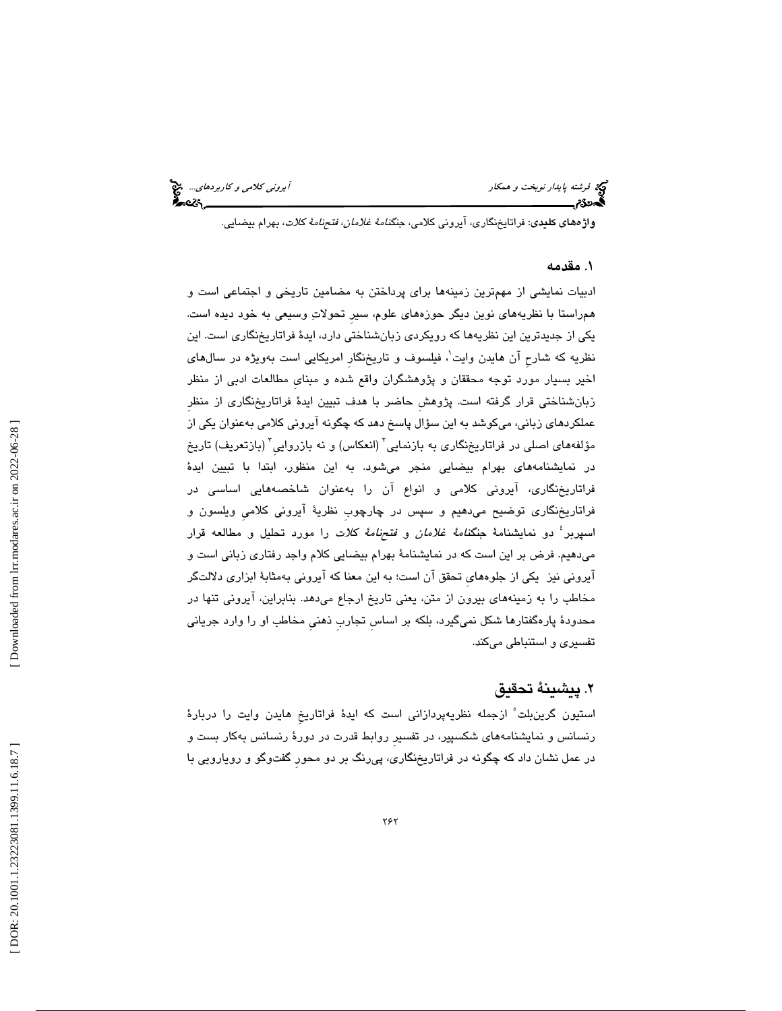فرشته پايدار نوبخت و همكار آيروني كلامي و كاربردهاي...

**واژههاي كليدي**: فراتايخنگاري، آيروني كلامي، جن*گنامهٔ غلامان، فتحنامهٔ كلات*، بهرام بيضايي.

#### 1. مقدمه

ادبيات نمايشي از مهمترين زمينهها براي پرداختن به مضامين تاريخي و اجتماعي است و همراستا با نظريههاي نوين ديگر حوزههاي علوم، سيرِ تحولات وسيعي به خود ديده است. يكي از جديدترين اين نظريهها كه رويكردي زبانشناختي دارد، ايدة فراتاريخنگاري است. اين نظريه كه شارح آن هايدن وايت`، فيلسوف و تاريخنگار امريكايي است بهويژه در سال@اي اخير بسيار مورد توجه محققان و پژوهشگران واقع شده و مبنايِ مطالعات ادبي از منظر زبانشناختي قرار گرفته است. پژوهشِ حاضر با هدف تبيين ايدة فراتاريخنگاري از منظرِ عملكردهاي زباني، ميكوشد به اين سؤال پاسخ دهد كه چگونه آيروني كلامي بهعنوان يكي از مؤلفههای اصلی در فراتاریخنگاری به بازنمایی<sup>٬</sup> (انعکاس) و نه بازروایی<sup>٬</sup> (بازتعریف) تاریخ در نمايشنامههاي بهرام بيضايي منجر ميشود. به اين منظور، ابتدا با تبيين ايدة فراتاريخنگاري، آيروني كلامي و انواع آن را بهعنوان شاخصههايي اساسي در فراتاريخنگاري توضيح ميدهيم و سپس در چارچوبِ نظرية آيروني كلاميِ ويلسون و اسپربر<sup>؛</sup> دو نمايشنامهٔ جن*گنامهٔ غلامان* و *فتحنامهٔ كلات* را مورد تحليل و مطالعه قرار هيم. فرض بر اين است كه در نمايشنامة بهرام بيضايي كلام واجد رفتاري زباني است و ميد آيروني نيز يكي از جلوههايِ تحقق آن است؛ به اين معنا كه آيروني بهمثابة ابزاري دلالتگر مخاطب را به زمينههاي بيرون از متن، يعني تاريخ ارجاع ميدهد. بنابراين، آيروني تنها در محدودة پارهگفتارها شكل نميگيرد، بلكه بر اساسِ تجاربِ ذهنيِ مخاطب او را وارد جرياني تفسيري و استنباطي ميكند.

#### 2. پيشينة تحقيق

استيون گرين بلت ْ ازجمله نظريهپردازاني است كه ايدهٔ فراتاريخ هايدن وايت را دربارهٔ رنسانس و نمايشنامههاي شكسپير، در تفسيرِ روابط قدرت در دورة رنسانس بهكار بست و 1 در عمل نشان داد كه چگونه در فراتاريخنگاري، پيرنگ بر دو محورِ گفتوگو و رويارويي با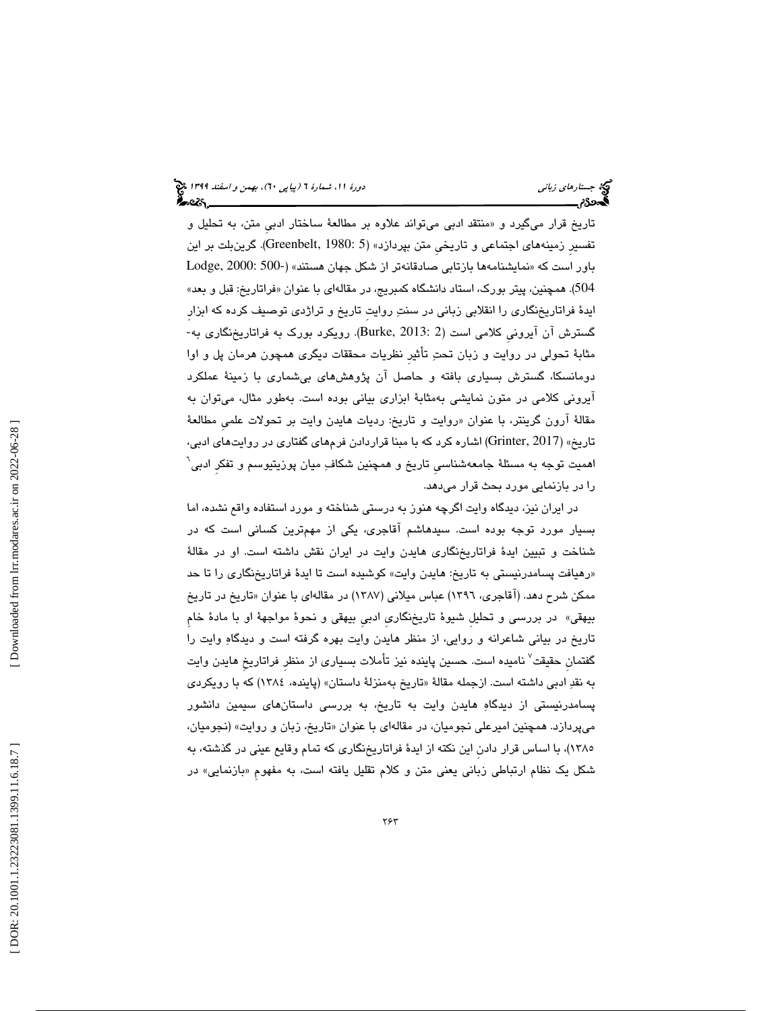تاريخ قرار ميگيرد و «منتقد ادبي ميتواند علاوه بر مطالعهٔ ساختار ادبي متن، به تحليل و تفسيرِ زمينههاي اجتماعي و تاريخيِ متن بپردازد» (5 1980: ,Greenbelt(. گرينبلت بر اين باور است كه «نمايشنامهها بازتابی صادقانهتر از شكل جهان هستند» (-2000 :Dodge, 2000 504). همچنین، پیتر بورک، استاد دانشگاه کمبریج، در مقالهای با عنوان «فراتاریخ: قبل و بعد» ايدهٔ فراتاريخنگاري را انقلابي زباني در سنتِ روايتِ تاريخ و تراژدي توصيف كرده كه ابزارِ<br>گسترش آن آيروني كلامي است (2 :Burke, 2013). رويكرد بورک به فراتاريخنگاري به-مثابة تحولي در روايت و زبان تحت تأثيرِ نظريات محققات ديگري همچون هرمان پل و اوا دومانسكا، گسترش بسياري بافته و حاصل آن پژوهشهاي بيشماري با زمينة عملكرد آيروني كلامي در متون نمايشي بهمثابة ابزاري بياني بوده است. بهطور مثال، ميتوان به مقالهٔ ارون گرینتر، با عنوان «روایت و تاریخ: ردیات هایدن وایت بر تحولات علمی مطالعهٔ تاريخ» (2017 ,Grinter (اشاره كرد كه با مبنا قراردادن فرمهاي گفتاري در روايتهاي ادبي، اهمیت توجه به مسئلهٔ جامعهشناسی تاریخ و همچنین شکاف ِ میان پوزیتیوسم و تفکر ادبی<sup>٦</sup> را در بازنمايي مورد بحث قرار ميدهد.

در ايران نيز، ديدگاه وايت اگرچه هنوز به درستي شناخته و مورد استفاده واقع نشده، اما بسيار مورد توجه بوده است. سيدهاشم آقاجري، يكي از مهمترين كساني است كه در شناخت و تبيين ايدة فراتاريخنگاري هايدن وايت در ايران نقش داشته است. او در مقالة «رهيافت پسامدرنيستي به تاريخ: هايدن وايت» كوشيده است تا ايدهٔ فراتاريخنگاري را تا حد ممكن شرح دهد. (اقاجرى، ١٣٩٦) عباس ميلاني (١٣٨٧) در مقالهاى با عنوان «تاريخ در تاريخ بيهقي» در بررسي و تحليلِ شيوة تاريخنگاريِ ادبيِ بيهقي و نحوة مواجهة او با مادة خامِ تاريخ در بياني شاعرانه و روايي، از منظر هايدن وايت بهره گرفته است و ديدگاه وايت را گفتمان حقيقت<sup>ِ (</sup> ناميده است. حسين پاينده نيز تأملات بسيارى از منظر فراتاريخ هايدن وايت به نقدِ ادبی داشته است. ازجمله مقالهٔ «تاریخ بهمنزلهٔ داستان» (پاینده، ۱۳۸٤) که با رویکردی پسامدرنيستي از ديدگاه هايدن وايت به تاريخ، به بررسي داستانهاي سيمين دانشور ميپردازد. همچنين اميرعلي نجوميان، در مقالهاي با عنوان «تاريخ، زبان و روايت» (نجوميان، 1385)، با اساس قرار دادنِ اين نكته از ايدة فراتاريخنگاري كه تمام وقايع عيني در گذشته، به شکل یک نظام ارتباطی زبانی یعنی متن و کلام تقلیل یافته است، به مفهوم «بازنمایی» در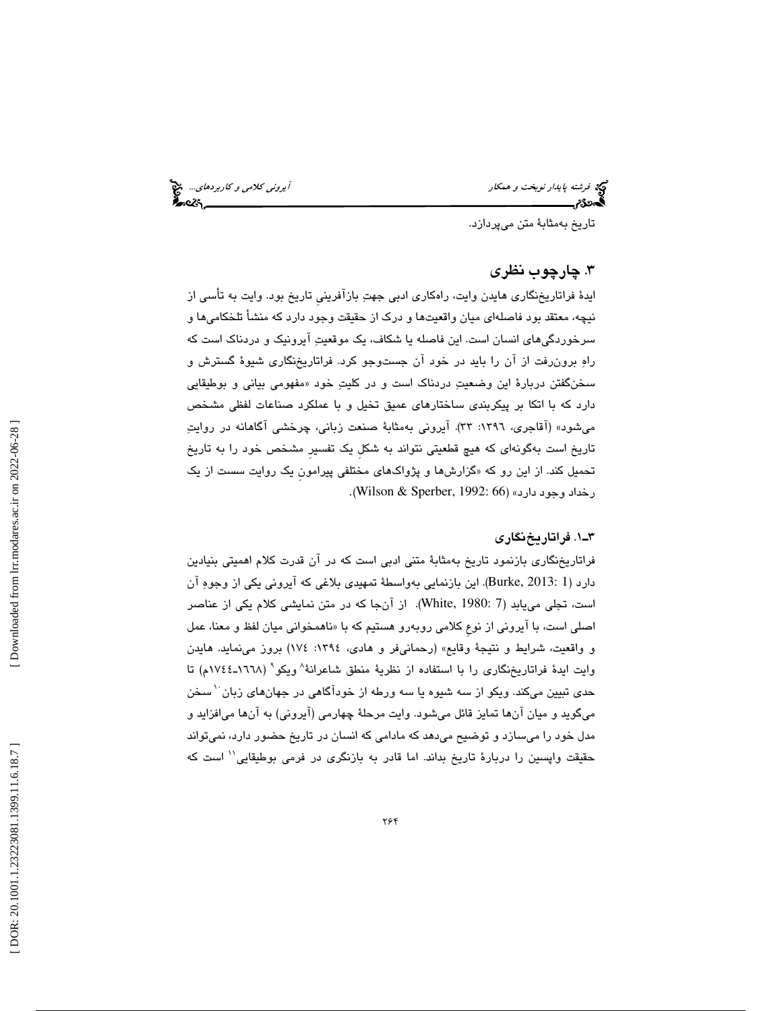فرشته پ*ايدار نوبخت و همكار آيرون كلامي و كاربردهاي..*. من آيرو*ني كلامي و كاربردهاي...*<br>**آيرون كلامي الميلماني...**<br>**آيدددد: آيرون كلامي الميلماني كلامي الميلماني الميلماني الميلماني الميلماني الميلماني الميلماني الميلمان** 

تاريخ بهمثابة متن ميپردازد.

#### 3. چارچوب نظري

ايدة فراتاريخنگاري هايدن وايت، راهكاري ادبي جهت بازآفرينيِ تاريخ بود. وايت به تأسي از نيچه، معتقد بود فاصلهاي ميان واقعيتها و درک از حقيقت وجود دارد كه منشأ تلخكاميها و سرخوردگيهاي انسان است. اين فاصله يا شكاف، يك موقعيت آيرونيك و دردناك است كه راه برونرفت از را آن بايد در خود آن جستوجو كرد. فراتاريخنگاري شيوة گسترش و سخنگفتن دربارة اين وضعيت دردناك است و در كليت خود « مفهومي بياني و بوطيقايي دارد كه با اتكا بر پيكربندي ساختارهاي عميق تخيل و با عملكرد صناعات لفظي مشخص ميشود» (آقاجري، ١٣٩٦: ٣٣). آيروني بهمثابهٔ صنعت زباني، چرخشي آگاهانه در روايتِ تاريخ است به گونهاي كه هيچ قطعيتي نتواند به شكلِ يك تفسيرِ مشخص خود به را تاريخ تحمیل كند. از این رو كه «گزارشها و پژواكهای مختلفی پیرامون یک روایت سست از یک رخداد وجود دارد» (Wilson & Sperber, 1992: 66).

#### 1ـ3 . فراتاريخنگاري

فراتاريخنگاري بازنمود تاريخ بهمثابة متني ادبي است كه در آن قدرت كلام اهميتي بنيادين دارد (1 2013: ,Burke(. اين بازنمايي بهواسطة تمهيدي بلاغي كه آيروني يكي از وجوه آن است، تجلي مييابد (7 1980: ,White(. از آنجا كه در متن نمايشي كلام يكي از عناصر اصلي است، با ايروني از نوع كلامي روبەرو هستيم كه با «ناهمخواني ميان لفظ و معنا، عمل و واقعيت، شرايط و نتيجة وقايع» (رحمانيفر و هادي، :1394 174) بروز مينمايد. هايدن وايت ايدهٔ فراتاريخنگاري را با استفاده از نظريهٔ منطق شاعرانهٔ^ويكو` (١٦٦٨ـ١٧٤٤م) تا حدی تبیین میکند. ویکو از سه شیوه یا سه ورطه از خودآگاهی در جهانهای زبان<sup>۱۰</sup> سخن ميگويد و ميان آنها تمايز قائل ميشود. وايت مرحلة چهارمي (آيروني) به آنها ميافزايد و مدل خود را ميسازد و توضيح ميدهد كه مادامي كه انسان در تاريخ حضور دارد، نميتواند حقيقت واپسين را دربارهٔ تاريخ بداند. اما قادر به بازنگري در فرمي بوطيقايي'' است كه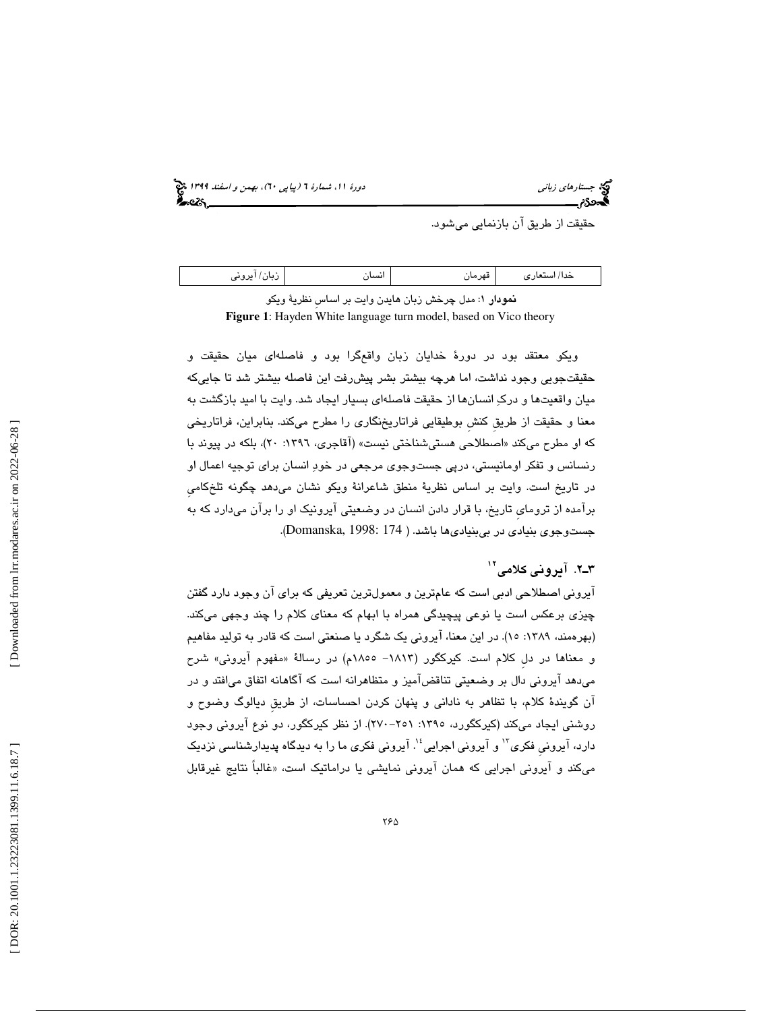6)، بهمن و اسفند 1399 (پياپي 0 جستارهاي زباني دورة ،11 شمارة 6

حقيقت از طريق آن بازنمايي ميشود.

| $\cdot$<br>$\overline{\phantom{a}}$<br>قهرمار<br>مد ا<br>'سىت.<br>ں ،<br>رى<br>$-$<br>ີ∽<br>…ت ت |
|--------------------------------------------------------------------------------------------------|
|--------------------------------------------------------------------------------------------------|

**نمودار ۱**: مدل چرخش زبان هايدن وايت بر اساس نظريهٔ ويكو **Figure 1**: Hayden White language turn model, based on Vico theory

ويكو معتقد بود در دورة خدايان زبان واقعگرا بود و فاصلهاي ميان حقيقت و حقيقتجويي وجود نداشت، اما هرچه بيشتر بشر پيشرفت اين فاصله بيشتر شد تا جاييكه ميان واقعيتها و درك انسانها از حقيقت فاصلهاي بسيار ايجاد شد. وايت با اميد بازگشت به معنا و حقيقت از طريقِ كنشِ بوطيقايي فراتاريخنگاري را مطرح ميكند. بنابراين، فراتاريخي که او مطرح میکند «اصطلاحی هستیشناختی نیست» (اقاجری، ۱۳۹۲: ۲۰)، بلکه در پیوند با رنسانس و تفكر اومانيستي، درپي جست وجوي مرجعي در خود انسان براي توجيه اعمال او در تاريخ است. وايت بر اساس نظرية منطق شاعرانة ويكو نشان ميدهد چگونه تلخ ِ كامي برآمده از ترومايِ تاريخ، با قرار دادن انسان در وضعيتي آيرونيك او را برآن ميدارد كه به جستوجوي بنيادي در بيبنياديها باشد. ( 174 1998: ,Domanska( .

### ۳ـ۲. آيرونى كلامى<sup>۱۲</sup>

آيروني اصطلاحي ادبي است كه عامترين و معمولترين تعريفي كه براي آن وجود دارد گفتن چيزي برعكس است يا نوعي پيچيدگي همراه با ابهام كه معناي كلام را چند وجهي ميكند. (بهرهمند، ۱۳۸۹: ۱۵). در این معنا، ایرونی یک شگرد یا صنعتی است که قادر به تولید مفاهیم و معناها در دل کلام است. کیرکگور (۱۸۱۳– ۱۸۰۵م) در رسالهٔ «مفهوم ایرونی» شرح ميدهد آيروني بر دال وضعيتي تناقضآميز و متظاهرانه است كه آگاهانه اتفاق ميافتد و در آن گويندة كلام، با تظاهر به ناداني و پنهان كردن احساسات، از طريقِ ديالوگ وضوح و روشني ايجاد ميكند (كيركگورد، ١٣٩٥: ٢٥١-٢٧٠). از نظر كيركگور، دو نوع آيروني وجود دارد، آیرونی فکری<sup>۱۲</sup> و آیرونی اجرایی<sup>؛ ۱</sup>. آیرونی فکری ما را به دیدگاه پدیدارشناسی نزدیک ميكند و آيروني اجرايي كه همان آيروني نمايشي يا دراماتيك است، « غالباً نتايج غيرقابل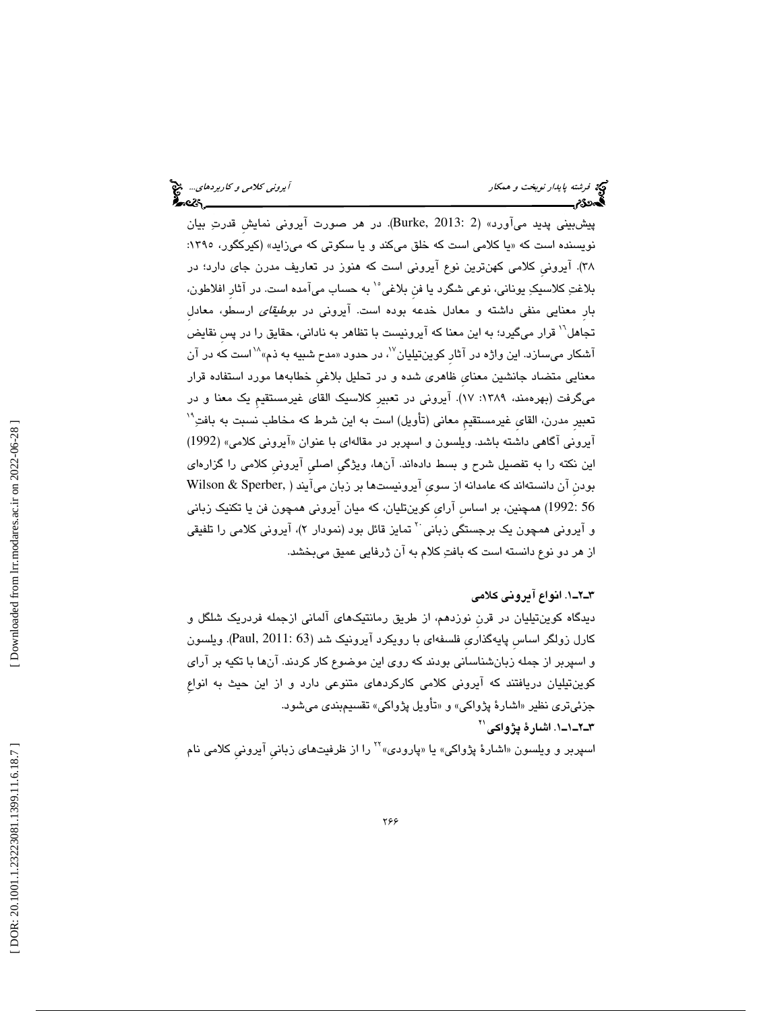پيشبيني پديد ميآورد» (2 2013: ,Burke(. در هر صورت آيروني نمايشِ قدرت بيان نويسنده است كه «يا كلامي است كه خلق ميكند و يا سكوتي كه ميزايد» (كيركگور، ١٣٩٥: )38 . آيرونيِ كلامي كهنترين نوع آيروني است كه هنوز در تعاريف مدرن جاي دارد؛ در بلاغتِ كلاسيكِ يوناني، نوعي شگرد يا فن بلاغي°` به حساب ميآمده است. در آثار افلاطون، بارِ معنايي منفي داشته و معادل خدعه بوده است. آيروني در بوطيقاي ارسطو، معادلِ تجاهل<sup>\\</sup> قرار میگیرد؛ به این معنا كه آیرونیست با تظاهر به نادانی، حقایق را در پس نقایض آشكار مىسازد. اين واژه در آثار كوينتيليان<sup>٧</sup>، در حدود «مدح شبيه به ذم»<sup>۱۸</sup>است كه در آن معنايي متضاد جانشين معناي ظاهري شده و در تحليل بلاغي خطابهها مورد استفاده قرار ميگرفت (بهرهمند، ١٣٨٩: ١٧). آيروني در تعبيرِ كلاسيک القاي غيرمستقيمِ يک معنا و در 19 تعبيرِ مدرن، القايِ غيرمستقيمِ معاني (تأويل) است به اين شرط كه مخاطب نسبت به بافت آيروني آگاهي داشته باشد. ويلسون و اسپربر در مقالهاي با عنوان «آيروني كلامي» (1992) اين نكته را به تفصيل شرح و بسط دادهاند. آنها، ويژگيِ اصليِ آيرونيِ كلامي را گزارهاي بودنِ آن دانستهاند كه عامدانه از سويِ آيرونيستها بر زبان ميآيند ( ,Sperber & Wilson 56 1992:) همچنين، بر اساسِ آرايِ كوينتليان، كه ميان آيروني همچون فن يا تكنيك زباني و آيروني همچون يک برجستگي زباني <sup>۲</sup> تمايز قائل بود (نمودار ۲)، آيروني کلامي را تلفيقي از هر دو نوع دانسته است كه بافت كلام به آن ژرفايي عميق ميبخشد.

#### 1ـ2ـ3 . انواع آيروني كلامي

ديدگاه كوينتيليان در قرن نوزدهم، از طريق رمانتيكهاي آلماني ازجمله فردريك شلگل و كارل زولگر اساسِ پايهگذاريِ فلسفهاي با رويكرد آيرونيك شد (63 2011: ,Paul(. ويلسون و اسپربر از جمله زبانشناساني بودند كه روي اين موضوع كار كردند. آنها با تكيه بر آراي كوينتيليان دريافتند كه آيروني كلامي كاركردهاي متنوعي دارد و از اين حيث به انواعِ جزئيتري نظير «اشارهٔ پژواكي» و «تأويل پژواكي» تقسيمبندي ميشود. 1ـ1ـ2ـ3 . اشارة پژواكي 21

اسپربر و ویلسون «اشارهٔ پژواکی» یا «پارودی»<sup>۲۲</sup> را از ظرفیتهای زبانی آیرونی کلامی نام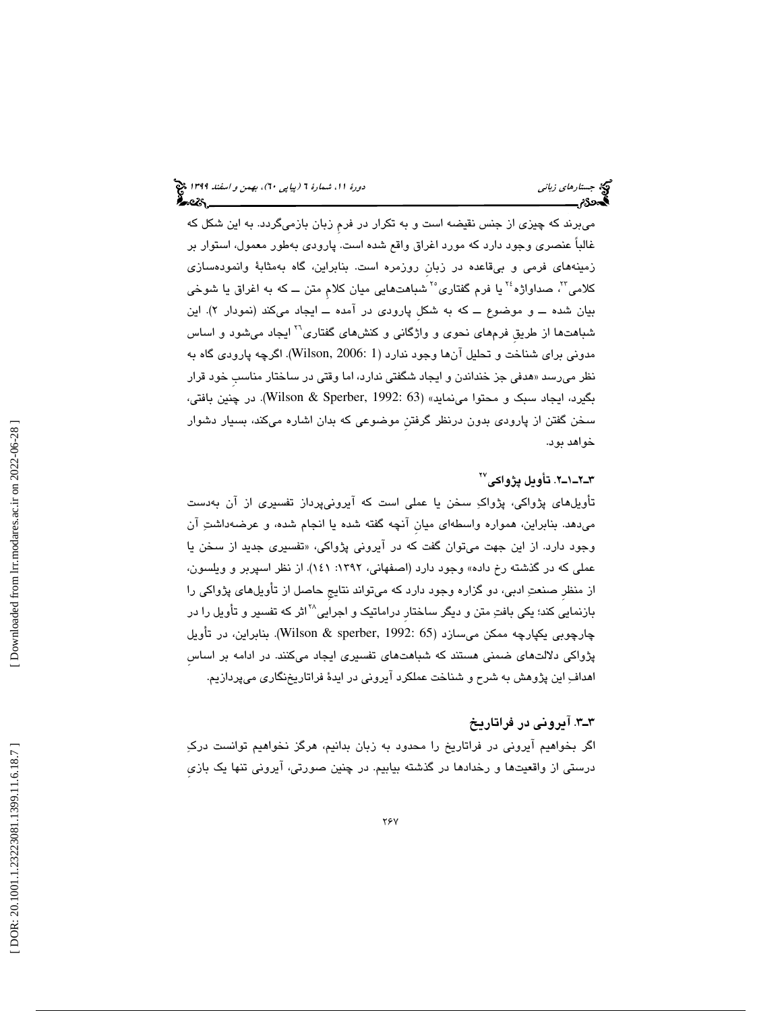ميبرند كه چيزي از جنس نقيضه است و به تكرار در فرمِ زبان بازميگردد. به اين شكل كه غالباً عنصري وجود دارد كه مورد اغراق واقع شده است. پارودي بهطور معمول، استوار بر زمينههاي فرمي و بيقاعده در زبانِ روزمره است. بنابراين، گاه بهمثابة وانمودهسازي کلامی"، صداواژه<sup>،</sup>۲ یا فرم گفتاری°<sup>۲</sup> شباهتهایی میان کلام متن ـــ که به اغراق یا شوخی بیان شده ـــ و موضوع ـــ كه به شكل پارودی در امده ـــ ایجاد میكند (نمودار ۲). این شباهتها از طريق فرمهای نحوی و واژگانی و کنشهای گفتاری<sup>۲۱</sup> ايجاد میشود و اساس مدوني براي شناخت و تحليل آنها وجود ندارد (1 2006: ,Wilson(. اگرچه پارودي گاه به نظر میرسد «هدفی جز خنداندن و ایجاد شگفتی ندارد، اما وقتی در ساختار مناسب خود قرار بگيرد، ايجاد سبک و محتوا مينمايد» (Wilson & Sperber, 1992: 63). در چنين بافتي، سخن گفتن از پارودي بدون درنظر گرفتنِ موضوعي كه بدان اشاره ميكند، بسيار دشوار خواهد بود.

#### 2ـ1ـ2ـ3 . تأويل پژواكي 27

تأويلهاي پژواكي، پژواك سخن يا عملي است كه آيرونيپرداز تفسيري از آن بهدست ميدهد. بنابراين، همواره واسطهاي ميانِ آنچه گفته شده يا انجام شده، و عرضهداشت آن وجود دارد. از اين جهت ميتوان گفت كه در ايروني پژواكي، «تفسيری جديد از سـخن يا عملي كه در گذشته رخ داده» وجود دارد (اصفهاني، :1392 141). از نظر اسپربر و ويلسون، از منظرِ صنعت ادبي، دو گزاره وجود دارد كه ميتواند نتايجِ حاصل از تأويلهاي پژواكي را بازنمايی کند؛ یکی بافتِ متن و دیگر ساختار دراماتیک و اجرایی<sup>۲۸</sup>اثر که تفسیر و تأویل را در چارچوبي يكپارچه ممكن ميسازد (Wilson & sperber, 1992: 65). بنابراين، در تأويل پژواكي دلالتهاي ضمني هستند كه شباهتهاي تفسيري ايجاد ميكنند. در ادامه بر اساسِ اهداف اين پژوهش به شرح و شناخت عملكرد آيروني در ايدة فراتاريخنگاري ميپردازيم.

### 3ـ3 . آيروني در فراتاريخ

اگر بخواهيم آيروني در فراتاريخ را محدود به زبان بدانيم، هرگز نخواهيم توانست درك درستي از واقعيتها و رخدادها در گذشته بيابيم. در چنين صورتي، آيروني تنها يك بازيِ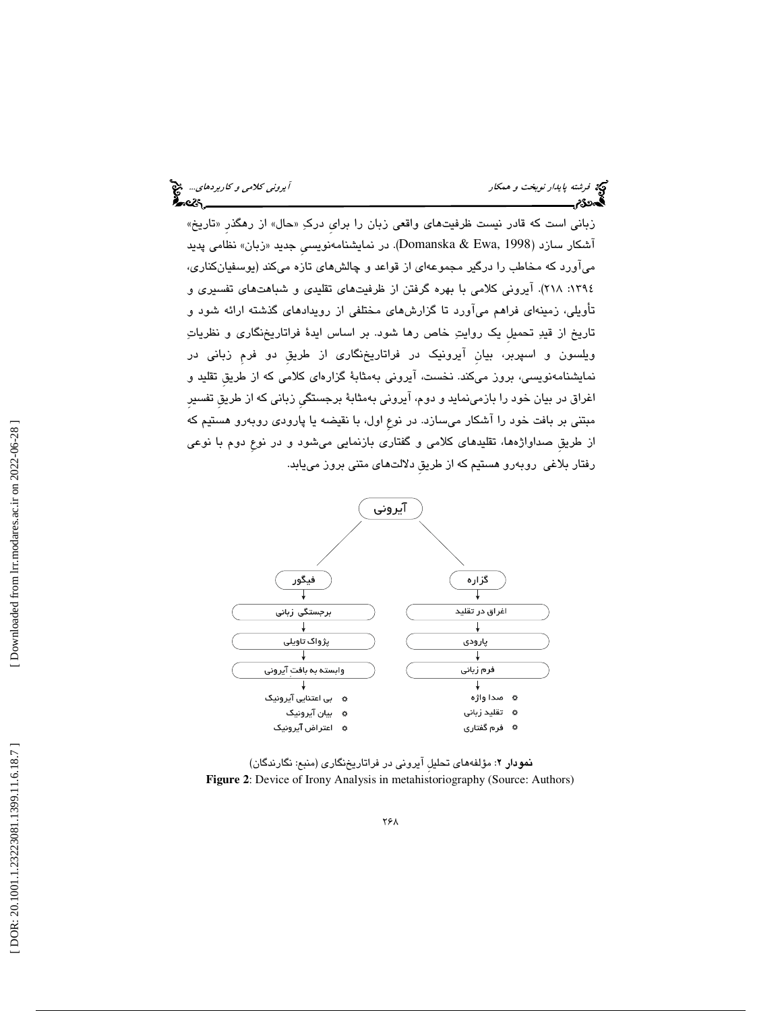| آیرون <i>ی کلامی و کاربردهای</i> چ <mark>خ</mark><br>ع <b>2</b> ھ |  |
|-------------------------------------------------------------------|--|
|                                                                   |  |

 $\epsilon$ 

زباني است كه قادر نيست ظرفيتهاي واقعي زبان را براي دركِ «حال» از رهگذر «تاريخ» آشكار سازد (Domanska & Ewa, 1998). در نمايشنامەنويسى جديد «زبان» نظامى پديد ميآورد كه مخاطب را درگير مجموعهاي از قواعد و چالشهاي تازه ميكند (يوسفيانكناري، ١٣٩٤: ٢١٨). آيروني كلامي با بهره گرفتن از ظرفيتهاي تقليدي و شباهتهاي تفسيري و تأويلي، زمينهاي فراهم ميآورد تا گزارشهاي مختلفي از رويدادهاي گذشته ارائه شود و تاريخ از قيد تحميلِ يك روايت خاص رها شود. بر اساس ايدة فراتاريخنگاري و نظريات ويلسون و اسپربر، بيانِ آيرونيك در فراتاريخنگاري از طريقِ دو فرمِ زباني در نمايشنامهنويسي، بروز ميكند. نخست، آيروني بهمثابة گزارهاي كلامي كه از طريقِ تقليد و اغراق در بيان خود را بازمينمايد و دوم، آيروني بهمثابة برجستگيِ زباني كه از طريقِ تفسيرِ مبتني بر بافت خود را آشكار ميسازد. در نوعِ اول، با نقيضه يا پارودي روبهرو هستيم كه از طريقِ صداواژهها، تقليدهاي كلامي و گفتاري بازنمايي ميشود و در نوعِ دوم با نوعي رفتار بلاغي روبهرو هستيم كه از طريقِ دلالتهاي متني بروز مييابد.



: مؤلفههاي تحليلِ آيروني در فراتاريخنگاري (منبع: نگارندگان) نمودار 2 **Figure 2**: Device of Irony Analysis in metahistoriography (Source: Authors)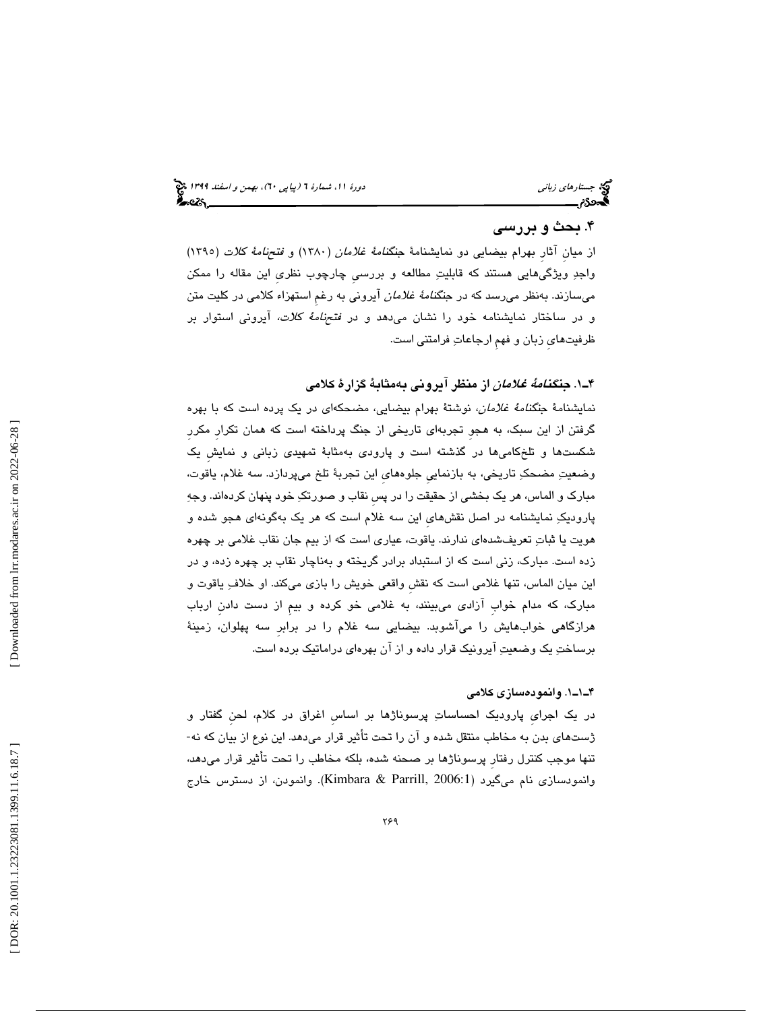#### 4. بحث و بررسي

از ميان آثار بهرام بيضايي دو نمايشنامهٔ جنگن*امهٔ غلامان (*١٣٨٠) و *فتحنامهٔ كلات (*١٣٩٥) واجد ويژگيهايي هستند كه قابليت مطالعه و بررسيِ چارچوب نظريِ اين مقاله را ممكن مي $\omega$ من ازند. بهنظر ميرسد كه در جن*گنامهٔ غلامان* آيروني به رغمِ استهزاء كلامي در كليت متن و در ساختار نمايشنامه خود را نشان ميدهد و در فتحنامة كلات، آيروني استوار بر ظرفيتهايِ زبان و فهمِ ارجاعات فرامتني است.

. 1ـ4 جنگنامة غلامان از منظر آيروني بهمثابة گزارة كلامي

نمايشنامة جنگنامة غلامان، نوشتة بهرام بيضايي، مضحكهاي در يك پرده است كه با بهره گرفتن از اين سبك، به هجوِ تجربهاي تاريخي از جنگ پرداخته است كه همان تكرارِ مكررِ شكستها و تلخكاميها در گذشته است و پارودي بهمثابة تمهيدي زباني و نمايشِ يك وضعيت مضحك تاريخي، به بازنماييِ جلوههايِ اين تجربة تلخ ميپردازد. سه غلام، ياقوت، مبارك و الماس، هر يك بخشي از حقيقت را در پسِ نقاب و صورتك خود پنهان كردهاند. وجه پاروديك نمايشنامه در اصل نقشهايِ اين سه غلام است كه هر يك بهگونهاي هجو شده و هويت يا ثبات تعريف شدهاي ندارند. ياقوت، عياري است كه از بيم جان نقاب غلامي بر چهره زده است. مبارك، زني است كه از استبداد برادر گريخته و بهناچار نقاب بر چهره زده، و در اين ميان الماس، تنها غلامي است كه نقشِ واقعي خويش را بازي ميكند. او خلاف ياقوت و مبارك، كه مدام خوابِ آزادي ميبينند، به غلامي خو كرده و بيمِ از دست دادنِ ارباب هرازگاهي خوابهايش را ميآشوبد. بيضايي سه غلام را در برابرِ سه پهلوان، زمينة برساخت يك وضعيت آيرونيك قرار داده و از آن بهرهاي دراماتيك برده است.

#### 1ـ1ـ4 . وانمودهسازي كلامي

در یک اجرایِ پارودیک احساساتِ پرسوناژها بر اساسِ اغراق در کلام، لحنِ گفتار و<br>ژستهای بدن به مخاطب منتقل شده و آن را تحت تأثیر قرار میدهد. این نوع از بیان که نه-تنها موجب كنترل رفتارِ پرسوناژها بر صحنه شده، بلكه مخاطب را تحت تأثير قرار ميدهد، وانمودن، از دسترس خارج . (Kimbara & Parrill, 2006:1 وانمودسازي نام ميگيرد (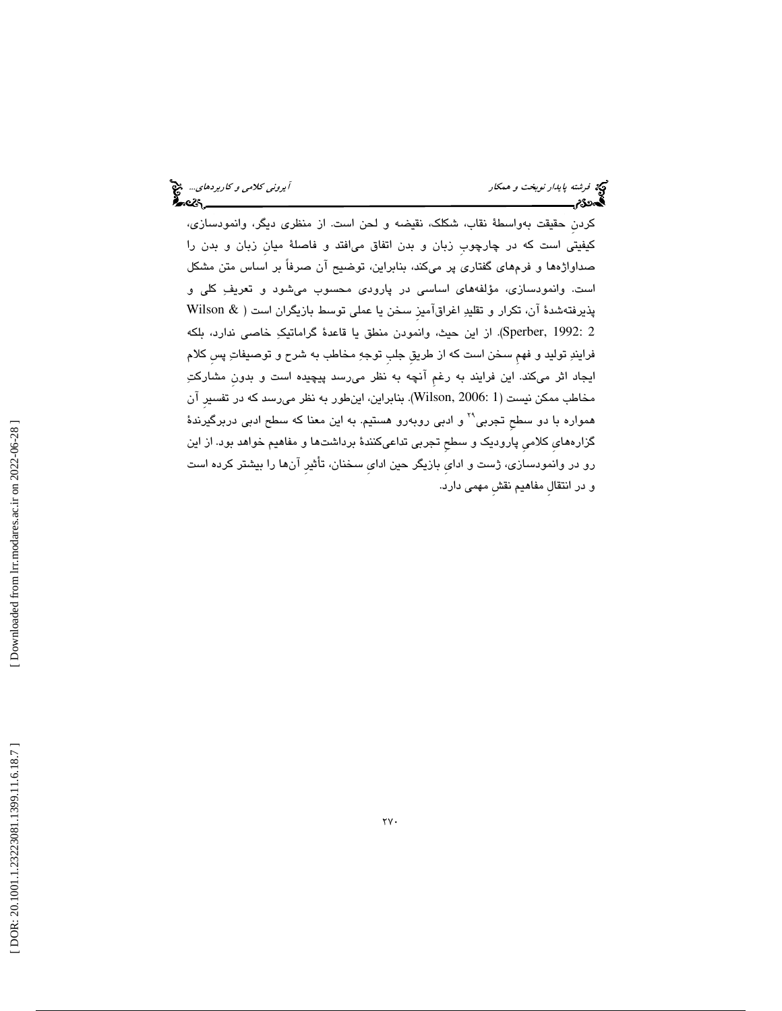كردنِ حقيقت بهواسطة نقاب، شكلك، نقيضه و لحن است. از منظري ديگر، وانمودسازي، كيفيتي است كه در چارچوبِ زبان و بدن اتفاق ميافتد و فاصلة ميانِ زبان و بدن را صداواژهها و فرمهاي گفتاري پر ميكند، بنابراين، توضيح آن صرفاً بر اساس متن مشكل است. وانمودسازي، مؤلفههاي اساسي در پارودي محسوب ميشود و تعريف كلي و Wilson & پذيرفتهشدة آن، تكرار و تقليد اغراقآميزِ سخن يا عملي توسط بازيگران است ( . از اين حيث، وانمودن منطق يا قاعدة گراماتيك خاصي ندارد، بلكه (Sperber, 1992: 2 فرايند توليد و فهمِ سخن است كه از طريقِ جلبِ توجه مخاطب به شرح و توصيفات پسِ كلام ايجاد اثر ميكند. اين فرايند به رغمِ آنچه به نظر ميرسد پيچيده است و بدونِ مشاركت مخاطب ممكن نيست (1 2006: ,Wilson(. بنابراين، ا ينطور به نظر ميرسد كه در تفسيرِ آن همواره با دو سطح تجربی<sup>۲۹</sup> و ادبی روبهرو هستیم. به این معنا که سطح ادبی دربرگیرندهٔ گزارههايِ كلاميِ پاروديك و سطحِ تجربي تداعيكنندة برداشتها و مفاهيم خواهد بود. از اين رو در وانمودسازي، ژست و ادايِ بازيگر حين ادايِ سخنان، تأثيرِ آنها را بيشتر كرده است و در انتقالِ مفاهيم نقشِ مهمي دارد.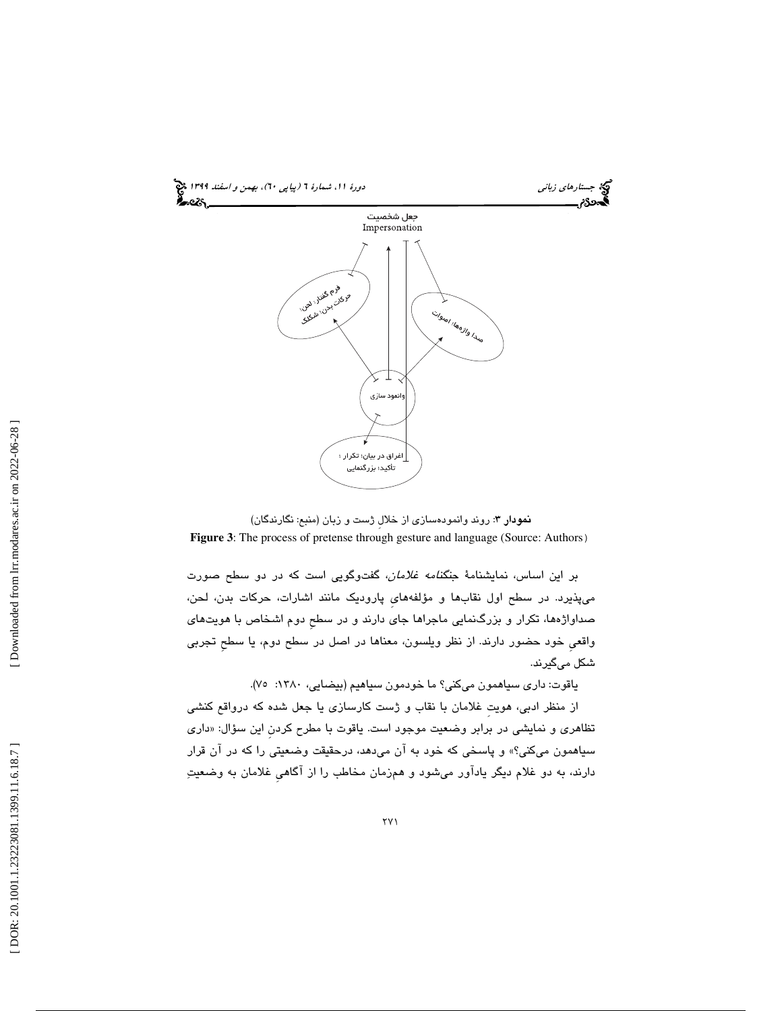

نمودار 3: روند وانمودهسازي از خلالِ ژست و زبان (منبع: نگارندگان)

**Figure 3**: The process of pretense through gesture and language (Source: Authors)

بر اين اساس، نمايشنامة جنگنامه غلامان، گفتوگويي است كه در دو سطح صورت ميپذيرد. در سطح اول نقابها و مؤلفههايِ پاروديك مانند اشارات، حركات بدن، لحن، صداواژهها، تكرار و بزرگنمايي ماجراها جاي دارند و در سطحِ دوم اشخاص با هويتهاي واقعي خود حضور دارند. از نظر ويلسون، معناها در اصل در سطح دوم، يا سطح تجربي شكل ميگيرند.

ياقوت: داري سياهمون ميكني؟ ما خودمون سياهيم (بيضايي، :1380 )75.

از منظر ادبي، هويت ِ غلامان با نقاب و ژست كارسازي يا جعل شده كه درواقع كنشي تظاهري و نمايشي در برابر وضعيت موجود است. ياقوت با مطرح كردن اين سؤال: «داري سياهمون ميكني؟» و پاسخي كه خود به آن ميدهد، درحقيقت وضعيتي را كه در آن قرار دارند، به دو غلام ديگر يادآور ميشود و همزمان مخاطب را از آگاهيِ غلامان به وضعيت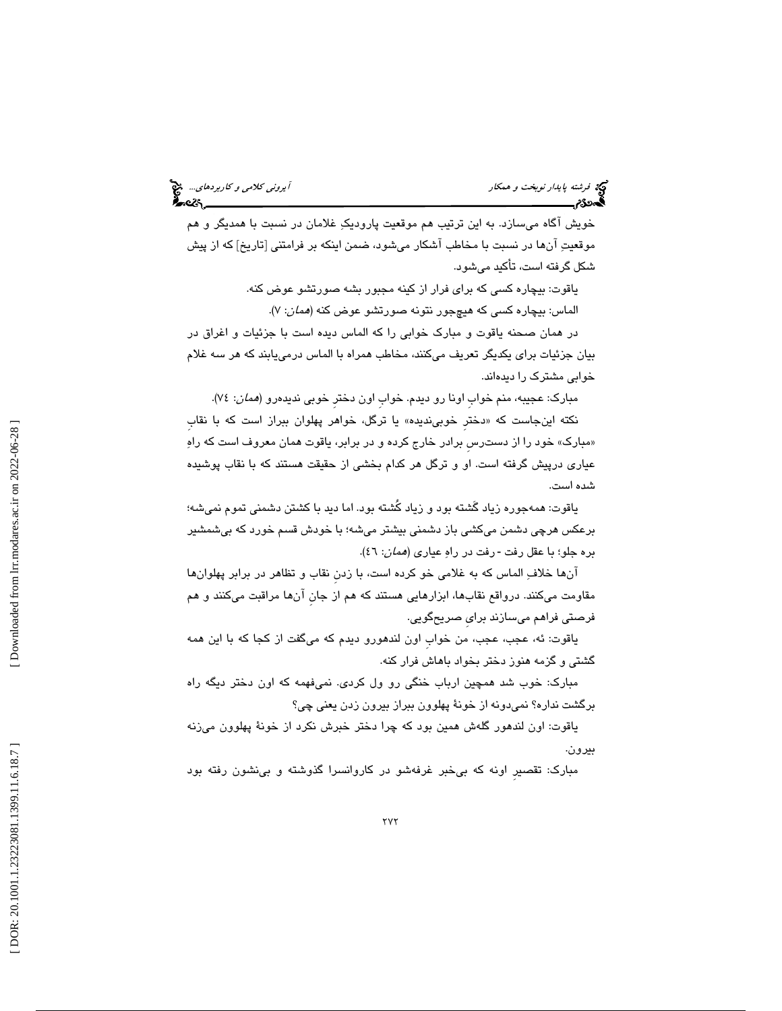| اً یرون <i>ی کلامی و کاربردهای</i> چیچ<br><b>ج</b> 2ء ه |  |
|---------------------------------------------------------|--|
|                                                         |  |

خويش آگاه ميسازد. به اين ترتيب هم موقعيت پاروديك غلامان در نسبت با همديگر و هم موقعيت آنها در نسبت با مخاطب آشكار مي شود، ضمن اينكه بر فرامتني [تاريخ] كه از پيش شكل گرفته است، تأكيد ميشود.

> ياقوت: بيچاره كسي كه براي فرار از كينه مجبور بشه صورتشو عوض كنه. الماس: بيچاره كس*ي* كه هيچجور نتونه صورتشو عوض كنه (*همان*: ۷).

در همان صحنه ياقوت و مبارك خوابي را كه الماس ديده است با جزئيات و اغراق در بيان جزئيات براي يكديگر تعريف ميكنند، مخاطب همراه با الماس درمييابند كه هر سه غلام خوابي مشترك را ديدهاند.

مبارک: عجیبه، منم خوابِ اونا رو دیدم. خوابِ اون دختر خوبی ندیدهرو (*همان*: ٧٤).

نكته اينجاست كه «دختر خوبیِندیده» یا ترگل، خواهر پهلوان ببراز است كه با نقاب «مبارک» خود را از دسترس برادر خارج کرده و در برابر، یاقوت همان معروف است که راهِ عياري درپيش گرفته است. او و ترگل هر كدام بخشي از حقيقت هستند كه با نقاب پوشيده شده است.

ياقوت: همهجوره زياد گَشته بود و زياد كُشته بود. اما ديد با كشتن دشمني تموم نميشه؛ برعكس هرچي دشمن ميكشي باز دشمني بيشتر ميشه؛ با خودش قسم خورد كه بيشمشير بره جلو؛ با عقل رفت -رفت در راهِ عیاری (*همان*: ٤٦).

 آنها خلاف الماس كه به غلامي خو كرده است، با زدنِ نقاب و تظاهر در برابر پهلوانها مقاومت ميكنند. درواقع نقابها، ابزارهايي هستند كه هم از جانِ آنها مراقبت ميكنند و هم فرصتي فراهم ميسازند برايِ صريحگويي.

ياقوت: ئه، عجب، عجب، من خواب اون لندهورو ديدم كه مي گفت از كجا كه با اين همه گشتي و گزمه هنوز دختر بخواد باهاش فرار كنه.

مبارك: خوب شد همچين ارباب خنگي رو ول كردي. نميفهمه كه اون دختر ديگه راه برگشت نداره؟ نميدونه از خونة پهلوون ببراز بيرون زدن يعني چي؟

ياقوت: اون لندهور گلهش همين بود كه چرا دختر خبرش نكرد از خونهٔ پهلوون مي زنه بيرون.

مبارك: تقصيرِ اونه كه بيخبر غرفهشو در كاروانسرا گذوشته و بينشون رفته بود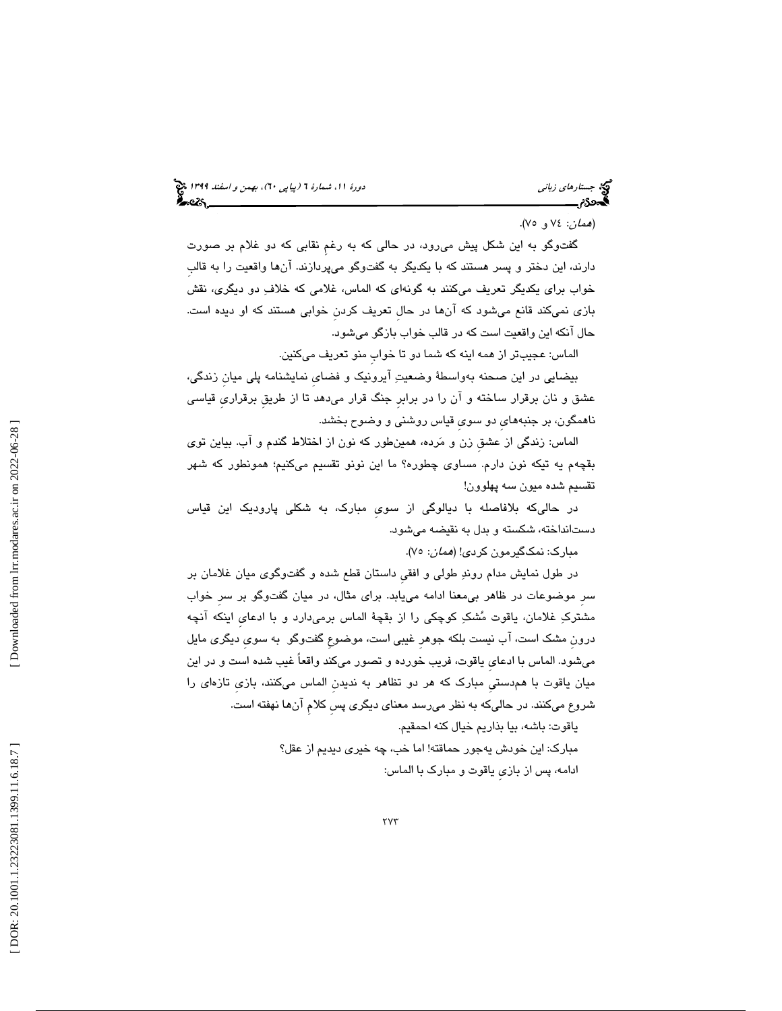## 6)، بهمن و اسفند 1399 (پياپي 0 جستارهاي زباني دورة ،11 شمارة 6

#### (*همان: ٧٤ و ٧*٥).

 گفتوگو به اين شكل پيش ميرود، در حالي كه به رغمِ نقابي كه دو غلام بر صورت دارند، اين دختر و پسر هستند كه با يكديگر به گفتوگو ميپردازند. آنها واقعيت را به قالبِ خواب براي يكديگر تعريف ميكنند به گونهاي كه الماس، غلامي كه خلاف دو ديگري، نقش بازي نميكند قانع ميشود كه آنها در حالِ تعريف كردنِ خوابي هستند كه او ديده است. حال آنكه اين واقعيت است كه در قالب خواب بازگو ميشود.

الماس: عجيبتر از همه اينه كه شما دو تا خوابِ منو تعريف ميكنين.

بيضايي در اين صحنه بهواسطة وضعيت آيرونيك و فضايِ نمايشنامه پلي ميانِ زندگي، عشق و نان برقرار ساخته و آن را در برابرِ جنگ قرار ميدهد تا از طريقِ برقراريِ قياسي ناهمگون، بر جنبههايِ دو سويِ قياس روشني و وضوح بخشد.

الماس: زندگي از عشقِ زن و مرده، همينطور كه نون از اختلاط گندم و آب. بياين توي بقچهم يه تيكه نون دارم. مساوي چطوره؟ ما اين نونو تقسيم ميكنيم؛ همونطور كه شهر تقسيم شده ميون سه پهلوون!

در حاليكه بلافاصله با ديالوگي از سويِ مبارك، به شكلي پاروديك اين قياس دستانداخته، شكسته و بدل به نقيضه ميشود.

مبارک: نمکگیرمون کردی! (*همان*: ۷۰).

در طول نمايش مدام روند طولي و افقيِ داستان قطع شده و گفتوگوي ميان غلامان بر سرِ موضوعات در ظاهر بيمعنا ادامه مييابد. براي مثال، در ميان گفتوگو بر سرِ خواب مشترك غلامان، ياقوت مشك كوچكي را از بقچة الماس برميدارد و با ادعايِ اينكه آنچه درونِ مشك است، آب نيست بلكه جوهرِ غيبي است، موضوعِ گفتوگو به سويِ ديگري مايل ميشود. الماس با ادعايِ ياقوت، فريب خورده و تصور ميكند واقعاً غيب شده است و در اين ميان ياقوت با همدستيِ مبارك كه هر دو تظاهر به نديدنِ الماس ميكنند، بازيِ تازهاي را شروع ميكنند. در حاليكه به نظر ميرسد معناي ديگري پسِ كلامِ آنها نهفته است.

> ياقوت: باشه، بيا بذاريم خيال كنه احمقيم. مبارك: اين خودش يهجور حماقته! اما خب، چه خيري ديديم از عقل؟ ادامه، پس از بازيِ ياقوت و مبارك با الماس: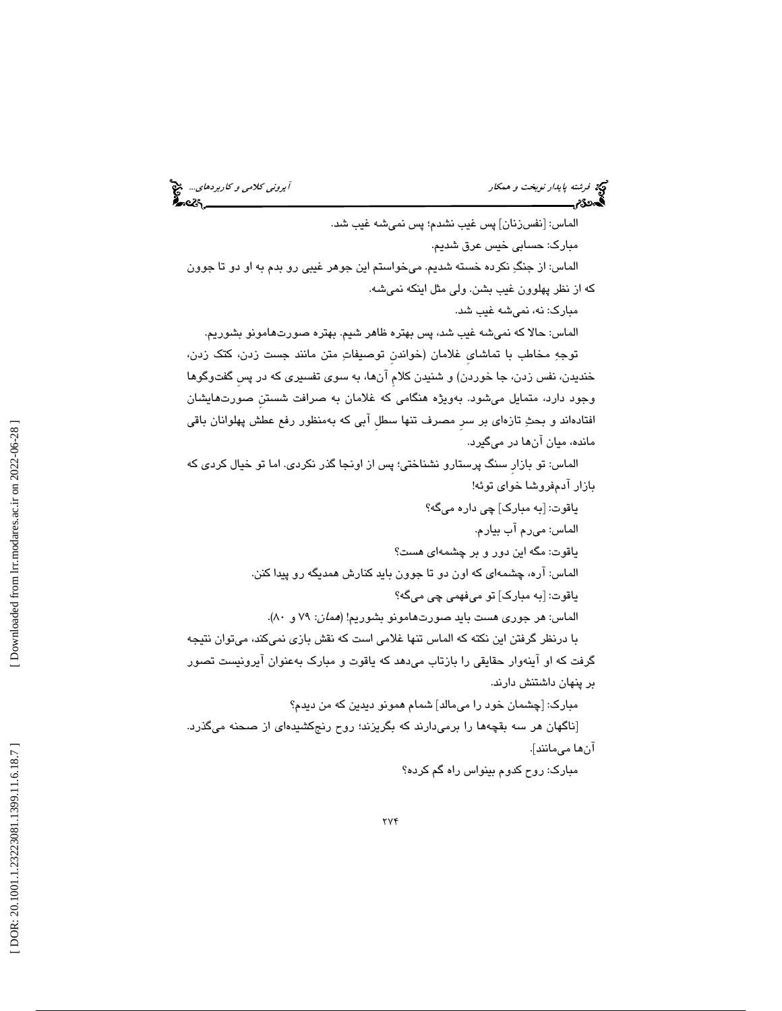فرشته پايدار نوبخت و همكار آيروني كلامي و كاربردهاي...

الماس: [نفسزنان] پس غيب نشدم؛ پس نميشه غيب شد. مبارك: حسابي خيس عرق شديم. الماس: از جنگِ نكرده خسته شديم. ميخواستم اين جوهر غيبي رو بدم به او دو تا جوون كه از نظر پهلوون غيب بشن. ولي مثل اينكه نميشه. مبارك: نه، نميشه غيب شد. الماس: حالا كه نميشه غيب شد، پس بهتره ظاهر شيم. بهتره صورتهامونو بشوريم. توجه مخاطب با تماشايِ غلامان (خواندنِ توصيفات متن مانند جست زدن، كتك زدن، خنديدن، نفس زدن، جا خوردن) و شنيدن كلامِ آنها، به سوي تفسيري كه در پسِ گفتوگوها وجود دارد، متمايل ميشود. بهويژه هنگامي كه غلامان به صرافت شستنِ صورتهايشان افتادهاند و بحث تازهاي بر سرِ مصرف تنها سطلِ آبي كه بهمنظور رفع عطش پهلوانان باقي مانده، ميان آنها در ميگيرد. الماس: تو بازارِ سنگ پرستارو نشناختي؛ پس از اونجا گذر نكردي. اما تو خيال كردي كه بازار آدمفروشا خواي توئه! ياقوت: [به مبارك] چي داره ميگه؟ الماس: ميرم آب بيارم. ياقوت: مگه اين دور و بر چشمهاي هست؟ الماس: آره، چشمهاي كه اون دو تا جوون بايد كنارش همديگه رو پيدا كنن.

ياقوت: [به مبارك] تو ميفهمي چي ميگه؟

الماس: هر جوري هست بايد صورتهامونو بشوريم! (*همان*: ٧٩ و ٨٠).

با درنظر گرفتن اين نكته كه الماس تنها غلامي است كه نقش بازي نميكند، ميتوان نتيجه گرفت كه او آينهوار حقايقي را بازتاب ميدهد كه ياقوت و مبارك بهعنوان آيرونيست تصور بر پنهان داشتنش دارند.

مبارك: [چشمان خود را ميمالد] شمام همونو ديدين كه من ديدم؟ [ناگهان هر سه بقچهها را برميدارند كه بگريزند؛ روح رنجكشيدهاي از صحنه ميگذرد. آنها ميمانند].

مبارك: روح كدوم بينواس راه گم كرده؟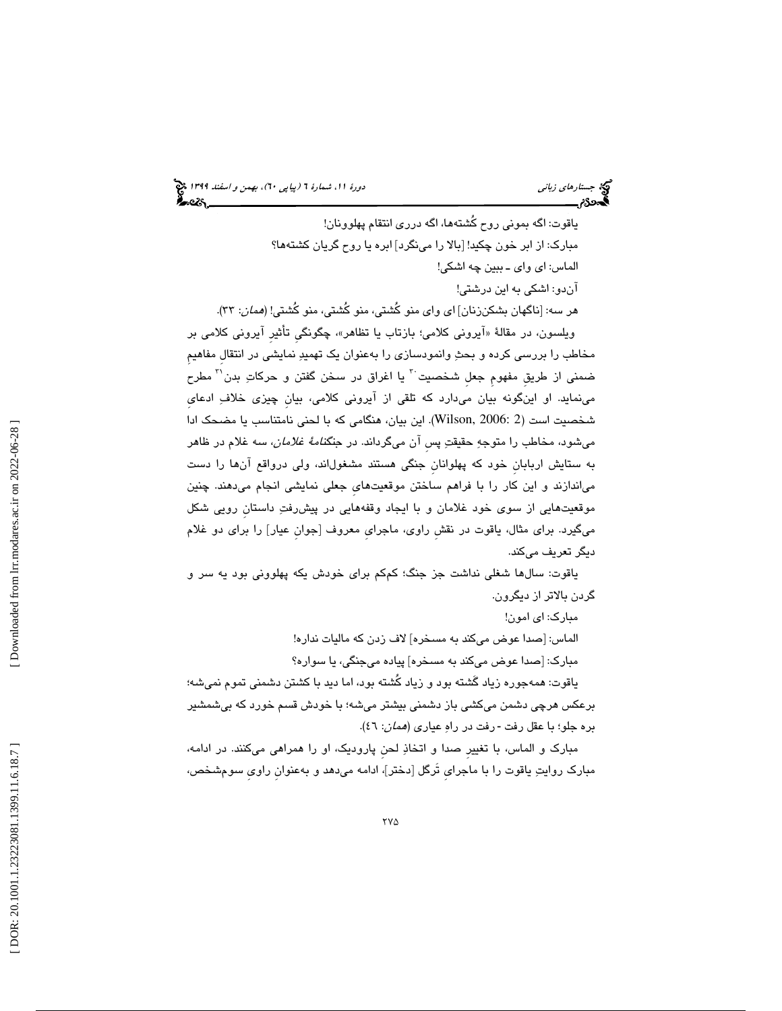ياقوت: اگه بموني روح كُشتهها، اگه درري انتقام پهلوونان! مبارك: از ابر خون چكيد! [بالا را مينگرد] ابره يا روح گريان كشتهها؟ الماس: اي واي ـ ببين چه اشكي! آندو: اشكي به اين درشتي! هر سه: [ناگهان بشكن;نان] اي واي منو كُشتي، منو كُشتي، منو كُشتي! (*همان*: ٣٣). ویلسون، در مقالهٔ «ایرونی کلامی؛ بازتاب یا تظاهر»، چگونگی تأثیر ایرونی کلامی بر مخاطب را بررسي كرده و بحث وانمودسازي را بهعنوان يك تهميد نمايشي در انتقالِ مفاهيمِ ضمنی از طریق مفهوم جعل شخصیت <sup>۳</sup> یا اغراق در سخن گفتن و حرکاتِ بدن<sup>۳۱</sup> مطرح مينمايد. او اينگونه بيان ميدارد كه تلقي از آيروني كلامي، بيانِ چيزي خلاف ادعايِ شخصيت است (2 2006: ,Wilson(. اين بيان، هنگامي كه با لحني نامتناسب يا مضحك ادا ميشود، مخاطب را متوجهِ حقيقتِ پسِ آن ميگرداند. در جن*گنامهٔ غلامان،* سه غلام در ظاهر به ستايش اربابانِ خود كه پهلوانانِ جنگي هستند مشغولاند، ولي درواقع آنها را دست مياندازند و اين كار را با فراهم ساختن موقعيتهايِ جعلي نمايشي انجام ميدهند. چنين موقعيتهايي از سوي خود غلامان و با ايجاد وقفههايي در پيشرفت داستانِ رويي شكل ميگيرد. براي مثال، ياقوت در نقشِ راوي، ماجرايِ معروف [جوانِ عيار] را براي دو غلام ديگر تعريف ميكند.

ه ياقوت: سال ا شغلي نداشت جز جنگ؛ كمكم براي خودش يكه پهلووني بود يه سر و گردن بالاتر از ديگرون.

مبارك: اي امون!

الماس: [صدا عوض ميكند به مسخره] لاف زدن كه ماليات نداره!

مبارك: [صدا عوض ميكند به مسخره] پياده ميجنگي، يا سواره؟

ياقوت: همهجوره زياد گَشته بود و زياد كُشته بود، اما ديد با كشتن دشمني تموم نميشه؛ برعكس هرچي دشمن ميكشي باز دشمني بيشتر ميشه؛ با خودش قسم خورد كه بيشمشير بره جلو؛ با عقل رفت -رفت در راهِ عیاری (*همان*: ٤٦).

مبارك و الماس، با تغييرِ صدا و اتخاذ لحنِ پاروديك، او را همراهي ميكنند. در ادامه، مبارك روايت ياقوت را با ماجرايِ تَرگل [دختر]، ادامه ميدهد و بهعنوانِ راويِ سومشخص،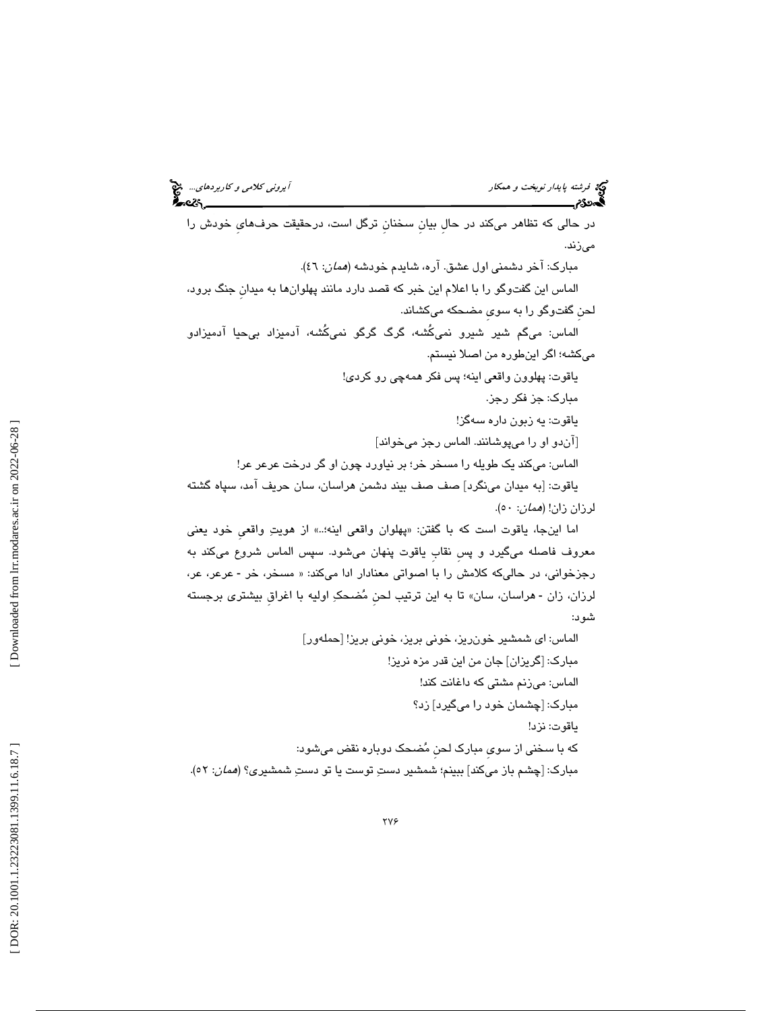فرشته پايدار نوبخت و همكار آيروني كلامي و كاربردهاي... در حالي كه تظاهر ميكند در حالِ بيانِ سخنانِ ترگل است، درحقيقت حرفهايِ خودش را ميزند. مبارك: آخر دشمني اول عشق. آره، شايدم خودشه (همان: )46. الماس اين گفتوگو را با اعلام اين خبر كه قصد دارد مانند پهلوانها به ميدانِ جنگ برود، لحنِ گفتوگو را به سويِ مضحكه ميكشاند. الماس: ميگم شير شيرو نميكُشه، گرگ گرگو نميكُشه، آدميزاد بيحيا آدميزادو ميكشه؛ اگر اينطوره من اصلا نيستم. ياقوت: پهلوون واقعي اينه؛ پس فكر همهچي رو كردي! مبارك: جز فكر رجز. ياقوت: يه زبون داره سهگز! [آندو او را ميپوشانند. الماس رجز ميخواند] الماس: ميكند يك طويله را مسخر خر؛ بر نياورد چون او گر درخت عرعر عر! ياقوت: [به ميدان مينگرد] صف صف بيند دشمن هراسان، سان حريف آمد، سپاه گشته لرزان زان! (همان : 50). پهلوان واقعي اينه؛..» از هويت واقعيِ خود يعني اما اينجا، ياقوت است كه با گفتن: « معروف فاصله ميگيرد و پسِ نقابِ ياقوت پنهان ميشود. سپس الماس شروع ميكند به عرعر، عر، رجزخواني، در حاليكه كلامش را با اصواتي معنادار ادا ميكند: « مسخر، خر ـ هراسان، سان» تا به اين ترتيب لحنِ مضحك اوليه با اغراقِ بيشتري برجسته لرزان، زان ـ شود: الماس: اي شمشير خونريز، خوني بريز، خوني بريز! [حملهور] مبارك: [گريزان] جان من اين قدر مزه نريز! الماس: ميزنم مشتي كه داغانت كند! مبارك: [چشمان خود را ميگيرد] زد؟ ياقوت: نزد! كه با سخني از سويِ مبارك لحنِ مضحك دوباره نقض ميشود: مبارك: [چشم باز ميكند] ببينم؛ شمشير دست توست يا تو دست شمشيري؟ (همان: )52.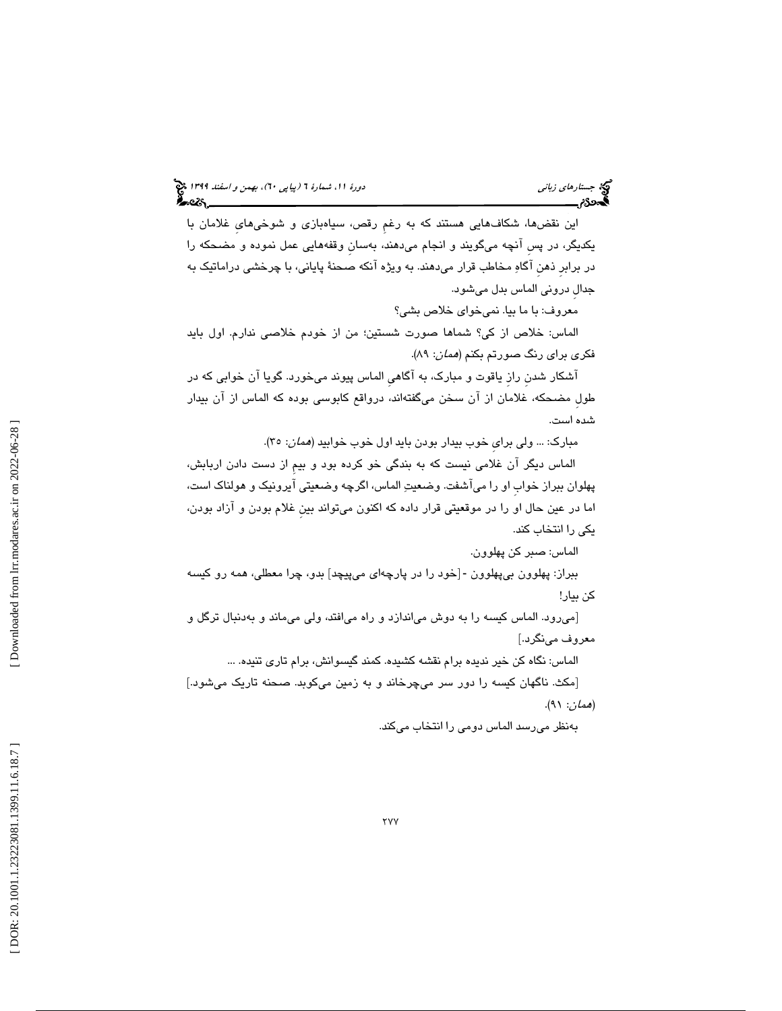اين نقضها، شكافهايي هستند كه به رغمِ رقص، سياهبازي و شوخيهايِ غلامان با يكديگر، در پسِ آنچه ميگويند و انجام ميدهند، بهسانِ وقفههايي عمل نموده و مضحكه را در برابرِ ذهنِ آگاه مخاطب قرار ميدهند. به ويژه آنكه صحنة پاياني، با چرخشي دراماتيك به جدالِ دروني الماس بدل ميشود.

معروف: با ما بيا. نميخواي خلاص بشي؟

الماس: خلاص از كي؟ شماها صورت شستين؛ من از خودم خلاصي ندارم. اول بايد فكري براي رنگ صورتم بكنم (همان: 89 ).

آشكار شدنِ رازِ ياقوت و مبارك، به آگاهيِ الماس پيوند ميخورد. گويا آن خوابي كه در طولِ مضحكه، غلامان از آن سخن ميگفتهاند، درواقع كابوسي بوده كه الماس از آن بيدار شده است.

مبارك: ... ولي براي خوب بيدار بودن بايد اول خوب خوابيد (ممان: ٣٥).

الماس ديگر آن غلامي نيست كه به بندگي خو كرده بود و بيمِ از دست دادن اربابش، پهلوان ببراز خوابِ او را ميآشفت. وضعيت الماس، اگرچه وضعيتي آيرونيك و هولناك است، اما در عين حال او را در موقعيتي قرار داده كه اكنون ميتواند بينِ غلام بودن و آزاد بودن، يكي را انتخاب كند.

الماس: صبر كن پهلوون.

ببراز: پهلوون بۍپهلوون -[خود را در پارچهای مۍپيچد] بدو، چرا معطلی، همه رو کيسه كن بيار!

[ميرود. الماس كيسه را به دوش مياندازد و راه ميافتد، ولي ميماند و بهدنبال ترگل و معروف مينگرد.]

الماس: نگاه كن خير نديده برام نقشه كشيده. كمند گيسوانش، برام تاري تنيده. ...

[مكث. ناگهان كيسه را دور سر ميچرخاند و به زمين ميكوبد. صحنه تاريك ميشود.] (*همان*: ۹۱).

بهنظر ميرسد الماس دومي را انتخاب ميكند.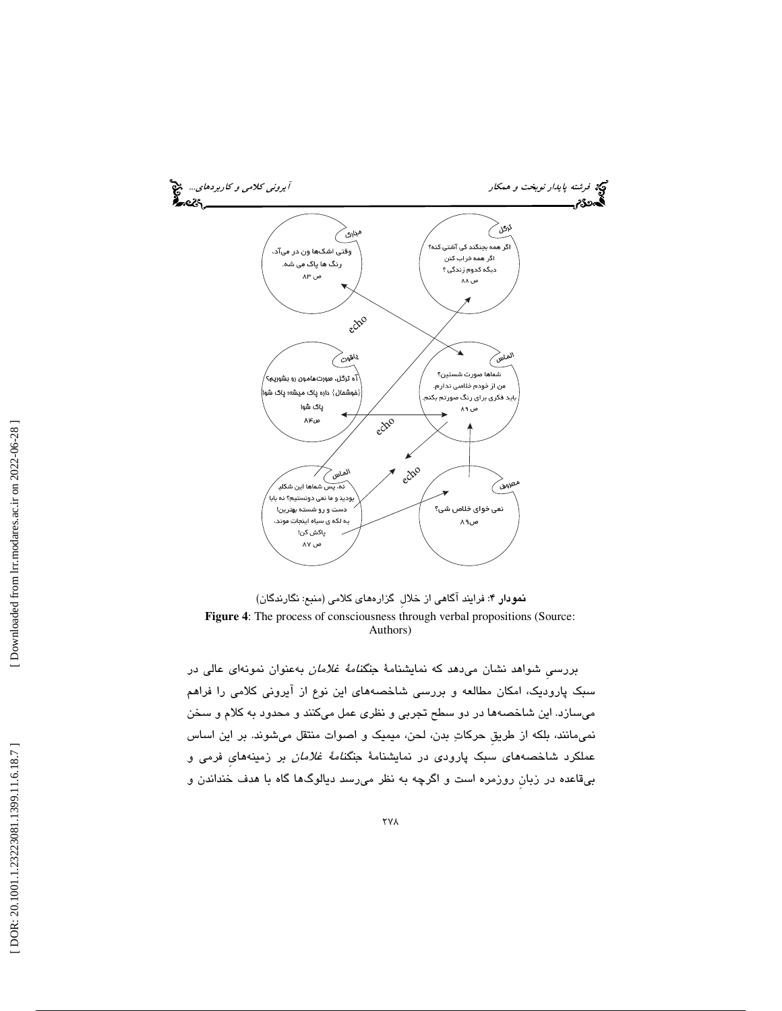

نمودار ۴: فرايند آگاهي از خلال گزارههاي كلامي (منبع: نگارندگان) **Figure 4**: The process of consciousness through verbal propositions (Source: Authors)

بررسيِ شواهد نشان ميدهد كه نمايشنامة جنگنامة غلامان به عنوان نمونهاي عالي در سبك پاروديك، امكان مطالعه و بررسي شاخصههاي اين نوع از آيروني كلامي را فراهم ميسازد. اين شاخصهها در دو سطح تجربي و نظري عمل ميكنند و محدود به كلام و سخن نميمانند، بلكه از طريقِ حركات بدن، لحن، ميميك و اصوات منتقل ميشوند. بر اين اساس عملكرد شاخصههای سبک پارودی در نمايشنامهٔ جن*گنامهٔ غلامان* بر زمينههای فرمی و بيقاعده در زبانِ روزمره است و اگرچه به نظر ميرسد ديالوگها گاه با هدف خنداندن و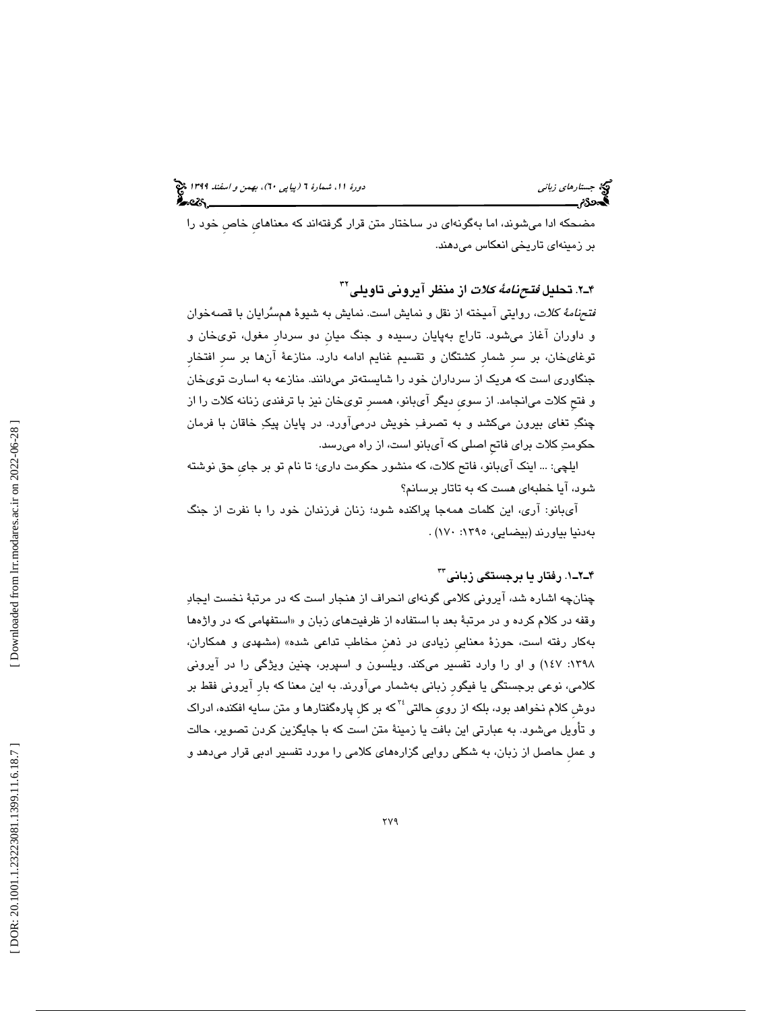مضحكه ادا ميشوند، اما بهگونهاي در ساختار متن قرار گرفتهاند كه معناهايِ خاصِ خود را بر زمينهاي تاريخي انعكاس ميدهند.

۴ـ۲. تحليل *فتحنامهٔ كلات* از منظر آيرونى تاويلى<sup>۳۲</sup>

 فتحنامة كلات، روايتي آميخته از نقل و نمايش است. نمايش به شيوة همسرايان با قصهخوان و داوران آغاز ميشود. تاراج بهپايان رسيده و جنگ ميانِ دو سردارِ مغول، تويخان و توغايخان، بر سرِ شمارِ كشتگان و تقسيم غنايم ادامه دارد. منازعة آنها بر سرِ افتخارِ جنگاوري است كه هريك از سرداران خود را شايستهتر ميدانند. منازعه به اسارت تويخان و فتحِ كلات ميانجامد. از سويِ ديگر آيبانو، همسرِ تويخان نيز با ترفندي زنانه كلات را از چنگ تغاي بيرون ميكشد و به تصرف خويش درميآورد. در پايان پيك خاقان با فرمان حكومت كلات براي فاتحِ اصلي كه آيبانو است، از راه ميرسد.

ايلچي: ... اينك آيبانو، فاتح كلات، كه منشور حكومت داري؛ تا نام تو بر جايِ حق نوشته شود، آيا خطبهاي هست كه به تاتار برسانم؟

 آيبانو: آري، اين كلمات همهجا پراكنده شود؛ زنان فرزندان خود را با نفرت از جنگ بهدنيا بياورند (بيضايي، :1395 170) .

#### ۴ـ۲ــ۱. رفتار يا برجستگى زبانى™

چنانچه اشاره شد، آيروني كلامي گونهاي انحراف از هنجار است كه در مرتبة نخست ايجاد وقفه در كلام كرده و در مرتبهٔ بعد با استفاده از ظرفيتهاى زبان و «استفهامى كه در واژهها بهكار رفته است، حوزة معناييِ زيادي در ذهنِ مخاطب تداعي شده» (مشهدي و همكاران، :1398 147) و او را وارد تفسير ميكند. ويلسون و اسپربر، چنين ويژگي را در آيروني كلامي، نوعي برجستگي يا فيگورِ زباني بهشمار ميآورند. به اين معنا كه بارِ آيروني فقط بر دوش كلام نخواهد بود، بلكه از روی حالتی <sup>۳۶</sup>که بر کل پارهگفتارها و متن سایه افکنده، ادراک و تأويل ميشود. به عبارتي اين بافت يا زمينة متن است كه با جايگزين كردن تصوير، حالت و عملِ حاصل از زبان، به شكلي روايي گزارههاي كلامي را مورد تفسير ادبي قرار ميدهد و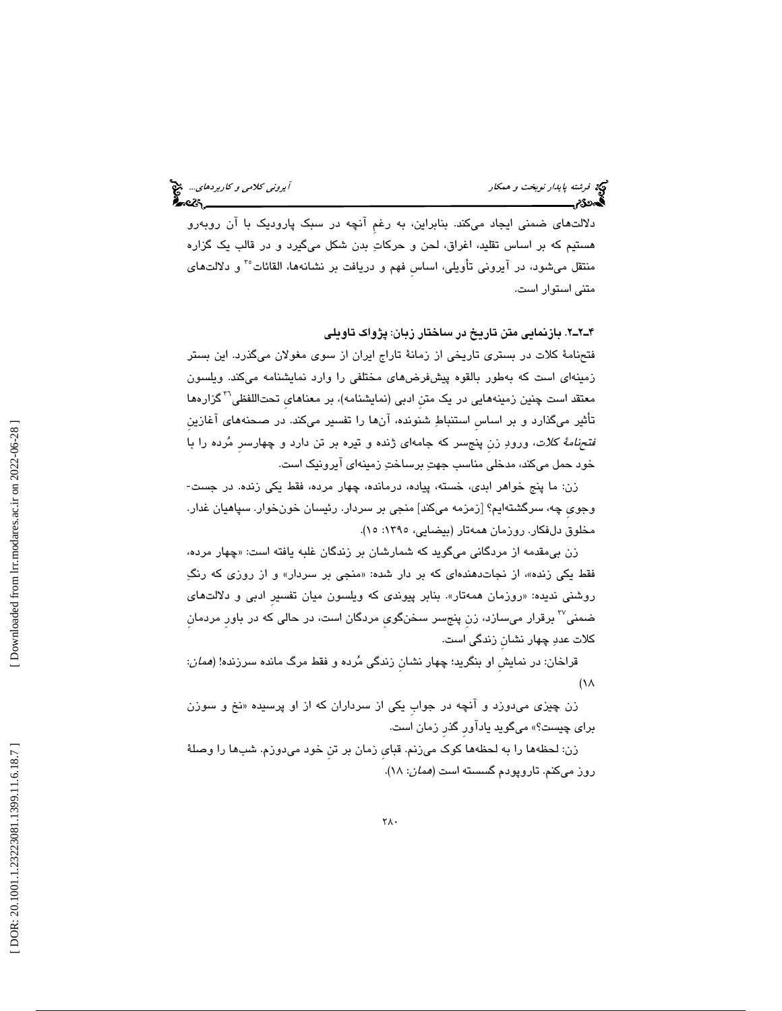دلالتهاي ضمني ايجاد ميكند. بنابراين، به رغمِ آنچه در سبك پاروديك با آن روبهرو هستيم كه بر اساس تقليد، اغراق، لحن و حركات بدن شكل ميگيرد و در قالب يك گزاره منتقل میشود، در آيرونی تأويلی، اساس فهم و دريافت بر نشانهها، القائات°<sup>۳</sup> و دلالتهای متني استوار است.

2ـ2ـ4 . بازنمايي متن تاريخ در ساختار زبان: پژواك تاويلي

 فتحنامة كلات در بستري تاريخي از زمانة تاراج ايران از سوي مغولان ميگذرد. اين بستر زمينهاي است كه بهطور بالقوه پيشفرضهاي مختلفي را وارد نمايشنامه ميكند. ويلسون معتقد است چنين زمينههايي در يک متن ادبي (نمايشنامه)، بر معناهاي تحتاللفظي<sup>۳</sup> گزارهها تأثير ميگذارد و بر اساسِ استنباط شنونده، آنها را تفسير ميكند. در صحنههاي آغازينِ فتحنامة كلات، ورود زنِ پنجسر كه جامهاي ژنده و تيره بر تن دارد و چهارسرِ مرده را با خود حمل ميكند، مدخلي مناسب جهت برساخت زمينهاي آيرونيك است.

زن: ما پنج خواهر ابدي، خسته، پياده، درمانده، چهار مرده، فقط يكي زنده. در جست- وجويِ چه، سرگشته ايم؟ [زمزمه ميكند] منجي بر سردار. رئيسان خونخوار. سپاهيان غدار. مخلوق دلفكار. روزمان همهتار (بيضايي، :1395 15).

زن بی،قدمه از مردگانی میگوید که شمارشان بر زندگان غلبه یافته است: «چهار مرده، فقط يكي زنده»، از نجاتدهندهای كه بر دار شده: «منجی بر سردار» و از روزی كه رنگِ روشني نديده: «روزمان همەتار». بنابر پیوندی كه ویلسون میان تفسیر ادبی و دلالتهای برقرار ميسازد، زنِ پنجسر سخنگويِ مردگان است، در حالي كه در باورِ مردمانِ <sup>37</sup> ضمني كلات عدد چهار نشانِ زندگي است.

قراخان: در نمايشِ او بنگريد؛ چهار نشانِ زندگي مرده و فقط مرگ مانده سرزنده! (همان:  $(1)$ 

زن چیزی میٖدوزد و انچه در جواب یکی از سرداران که از او پرسیده «نخ و سوزن براي چيست؟» ميگويد يادآورِ گذرِ زمان است.

زن: لحظهها را به لحظهها كوك ميزنم. قبايِ زمان بر تنِ خود ميدوزم. شبها را وصلة روز میکنم. تاروپودم گسسته است (*همان*: ۱۸).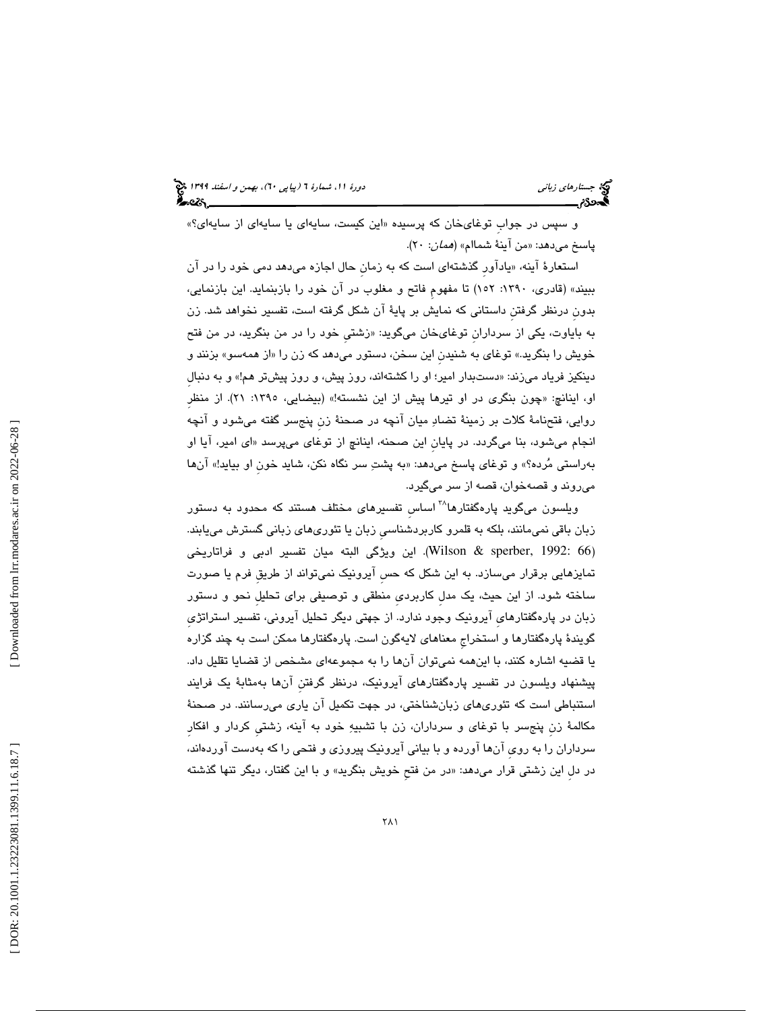و سپس در جواب توغایخان که پرسیده «این کیست، سایهای یا سایهای از سایهای؟» پاسخ مىدهد: «من اينهٔ شماام» (*همان*: ۲۰).

استعارهٔ اینه، «یاداور گذشتهای است که به زمان حال اجازه میدهد دمی خود را در ان ببيند» (قادري، :1390 152) تا مفهومِ فاتح و مغلوب در آن خود را بازبنمايد. اين بازنمايي، بدونِ درنظر گرفتنِ داستاني كه نمايش بر پاية آن شكل گرفته است، تفسير نخواهد شد. زن به باياوت، يكي از سرداران توغايخان ميگويد: «زشتي خود را در من بنگريد، در من فتح خويش را بنگريد.» توغاي به شنيدن اين سخن، دستور ميدهد كه زن را «از همهسو» بزنند و دینکیز فریاد میزند: «دستبدار امیر؛ او را کشتهاند، روز پیش، و روز پیشتر هم!» و به دنبال او، اينانچ: «چون بنگری در او تيرها پيش از اين نشسته!» (بيضايي، ١٣٩٥: ٢١). از منظر روايي، فتحنامة كلات بر زمينة تضاد ميان آنچه در صحنة زنِ پنجسر گفته ميشود و آنچه انجام ميشود، بنا ميگردد. در پايان اين صحنه، اينانچ از توغای ميپرسد «ای امير، ايا او بهراستي مُرده؟» و توغاي پاسخ ميدهد: «به پشتِ سر نگاه نكن، شايد خون او بيايد!» انها ميروند و قصه خوان، قصه از سر ميگيرد.

ویلسون میگوید پارهگفتارها<sup>۳۸</sup> اساس تفسیرهای مختلف هستند كه محدود به دستور زبان باقي نميمانند، بلكه به قلمرو كاربردشناسيِ زبان يا تئوريهاي زباني گسترش مييابند. (Wilson & sperber, 1992: 66). اين ويژگي البته ميان تفسير ادبي و فراتاريخي تمايزهايي برقرار ميسازد. به اين شكل كه حسِ آيرونيك نميتواند از طريقِ فرم يا صورت ساخته شود. از اين حيث، يك مدلِ كاربرديِ منطقي و توصيفي براي تحليلِ نحو و دستور زبان در پارهگفتارهايِ آيرونيك وجود ندارد. از جهتي ديگر تحليل آيروني، تفسير استراتژيِ گويندة پارهگفتارها و استخراجِ معناهاي لايهگون است. پارهگفتارها ممكن است به چند گزاره يا قضيه اشاره كنند، با اينهمه نميتوان آنها را به مجموعهاي مشخص از قضايا تقليل داد. پيشنهاد ويلسون در تفسير پارهگفتارهاي آيرونيك، درنظر گرفتنِ آنها بهمثابة يك فرايند استنباطي است كه تئوريهاي زبانشناختي، در جهت تكميل آن ياري ميرسانند. در صحنة مكالمة زنِ پنجسر با توغاي و سرداران، زن با تشبيه خود به آينه، زشتيِ كردار و افكارِ سرداران را به رويِ آنها آورده و با بياني آيرونيك پيروزي و فتحي را كه بهدست آوردهاند، در دل اين زشتي قرار ميدهد: «در من فتح خويش بنگريد» و با اين گفتار، ديگر تنها گذشته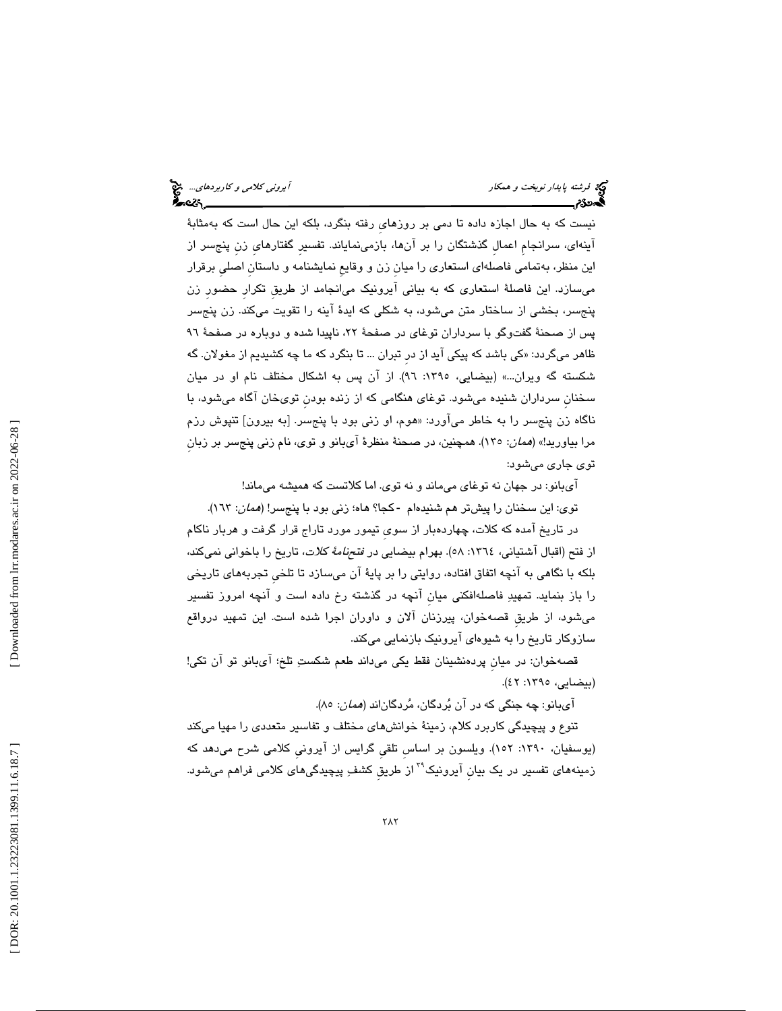فرشته پاي*دار نوبخت و همكار آيروني كلامي و كاربردهاي...*. في آير*وني كلامي و كاربردهاي...*. في آيروني كلامي و كاربردهاي...<br>**آيددن؟:**<br>ال

نيست كه به حال اجازه داده تا دمي بر روزهايِ رفته بنگرد، بلكه اين حال است كه بهمثابة آينهاي، سرانجامِ اعمالِ گذشتگان را بر آنها، بازمينماياند. تفسيرِ گفتارهايِ زنِ پنجسر از اين منظر، بهتمامي فاصلهاي استعاري را ميانِ زن و وقايعِ نمايشنامه و داستانِ اصليِ برقرار ميسازد. اين فاصلة استعاري كه به بياني آيرونيك ميانجامد از طريقِ تكرارِ حضورِ زن پنجسر، بخشي از ساختار متن ميشود، به شكلي كه ايدة آينه را تقويت ميكند. زن پنجسر پس از صحنة گفتوگو با سرداران توغاي در صفحة ،22 ناپيدا شده و دوباره در صفحة 96 ظاهر میگردد: «کی باشد که پیکی اید از در تبران ... تا بنگرد که ما چه کشیدیم از مغولان. گه شكسته گه ويران...» (بيضايي، :1395 96). از آن پس به اشكال مختلف نام او در ميان سخنانِ سرداران شنيده ميشود. توغاي هنگامي كه از زنده بودنِ تويخان آگاه ميشود، با ناگاه زن پنجسر را به خاطر می|ورد: «هوم، او زنی بود با پنجسر. [به بیرون] تنپوش رزم مرا بياوريد!» (همان: 135). همچنين، در صحنة منظرة آيبانو و توي، نام زني پنجسر بر زبانِ توي جاري ميشود:

آيبانو: در جهان نه توغاي ميماند و نه توي. اما كلاتست كه هميشه ميماند!

توي: اين سخنان را پيشتر هم شنيدهام -كجا؟ هاه؛ زني بود با پنجسر! (*همان*: ١٦٣).

در تاريخ آمده كه كلات، چهاردهبار از سويِ تيمور مورد تاراج قرار گرفت و هربار ناكام از فتح (اقبال آشتياني، ١٣٦٤: ٥٨). بهرام بيضايي در *فتحنامهٔ كلات*، تاريخ را باخواني نميكند، بلكه با نگاهي به آنچه اتفاق افتاده، روايتي را بر پاية آن ميسازد تا تلخيِ تجربههاي تاريخي را باز بنمايد. تمهيد فاصلهافكني ميانِ آنچه در گذشته رخ داده است و آنچه امروز تفسير ميشود، از طريقِ قصهخوان، پيرزنان آلان و داوران اجرا شده است. اين تمهيد درواقع سازوكار تاريخ را به شيوهاي آيرونيك بازنمايي ميكند.

قصهخوان: در ميانِ پردهنشينان فقط يكي ميداند طعم شكست تلخ؛ آيبانو تو آن تكي! (بيضايي، ١٣٩٥: ٤٢).

آيبانو: چه جنگي كه در آن بُردگان، مُردگاناند (*همان*: ۸۵).

تنوع و پيچيدگي كاربرد كلام، زمينة خوانشهاي مختلف و تفاسير متعددي را مهيا ميكند (يوسفيان، :1390 152). ويلسون بر اساسِ تلقيِ گرايس از آيرونيِ كلامي شرح ميدهد كه زمینههای تفسیر در یک بیان آیرونیک<sup>۲۹</sup> از طریق کشفِ پیچیدگیهای کلامی فراهم میشود.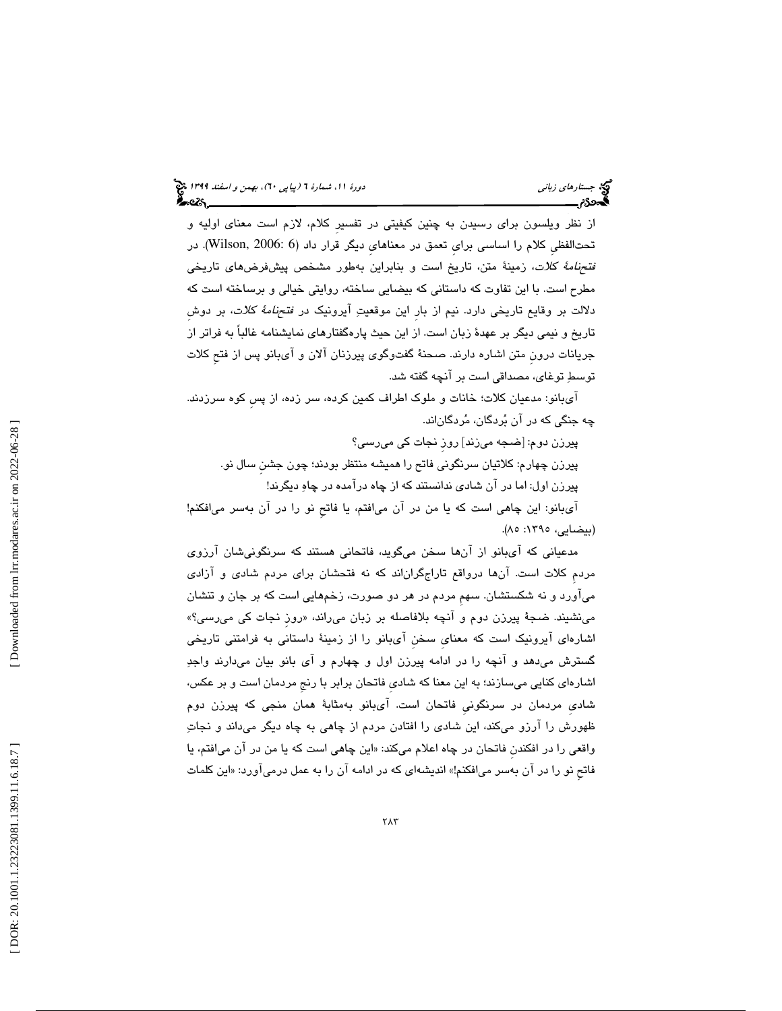از نظر ويلسون براي رسيدن به چنين كيفيتي در تفسيرِ كلام، لازم است معناي اوليه و تحتالفظي كلام را اساسي براي تعمق در معناهاي ديگر قرار داد (5 :Wilson, 2006). در فتحنامة كلات، زمينة متن، تاريخ است و بنابراين بهطور مشخص پيشفرضهاي تاريخي مطرح است. با اين تفاوت كه داستاني كه بيضايي ساخته، روايتي خيالي و برساخته است كه دلالت بر وقايع تاريخي دارد. نيم از بارِ اين موقعيت آيرونيك در فتحنامة كلات، بر دوشِ تاريخ و نيمي ديگر بر عهدة زبان است. از اين حيث پارهگفتارهاي نمايشنامه غالباً به فراتر از جريانات درونِ متن اشاره دارند. صحنة گفتوگوي پيرزنان آلان و آيبانو پس از فتحِ كلات توسط توغاي، مصداقي است بر آنچه گفته شد.

 آيبانو: مدعيان كلات؛ خانات و ملوك اطراف كمين كرده، سر زده، از پسِ كوه سرزدند. چه جنگي كه در آن بردگان، مردگاناند.

پيرزن دوم: [ضجه ميزند] روزِ نجات كي ميرسي؟ پيرزن چهارم: كلاتيان سرنگوني فاتح را هميشه منتظر بودند؛ چون جشنِ سال نو.

پيرزن اول: اما در آن شادي ندانستند كه از چاه درآمده در چاه ديگرند!

 آيبانو: اين چاهي است كه يا من در آن ميافتم، يا فاتحِ نو را در آن بهسر ميافكنم! (بيضايي، ١٣٩٥: ٨٥).

مدعياني كه آيبانو از آنها سخن ميگويد، فاتحاني هستند كه سرنگونيشان آرزوي مردمِ كلات است. آنها درواقع تاراجگران اند كه نه فتحشان براي مردم شادي و آزادي ميآورد و نه شكستشان. سهمِ مردم در هر دو صورت، زخمهايي است كه بر جان و تنشان میٰنشیند. ضـُـبـهٔ پیرزن دوم و انچه بلافاصله بر زبان میںراند، «روز نجات کی میںسی؟» اشارهاي آيرونيك است كه معنايِ سخنِ آيبانو را از زمينة داستاني به فرامتني تاريخي گسترش ميدهد و آنچه را در ادامه پيرزن اول و چهارم و آي بانو بيان ميدارند واجد اشارهاي كنايي ميسازند؛ به اين معنا كه شاديِ فاتحان برابر با رنجِ مردمان است و بر عكس، شاديِ مردمان در سرنگونيِ فاتحان است. آيبانو بهمثابة همان منجي كه پيرزن دوم ظهورش را آرزو ميكند، اين شادي را افتادن مردم از چاهي به چاه ديگر ميداند و نجات واقعي را در افكندن فاتحان در چاه اعلام ميكند: «اين چاهي است كه يا من در ان ميافتم، يا فاتح نو را در ان بهسر ميافكنم!» انديشهاي كه در ادامه ان را به عمل درمي[ورد: «اين كلمات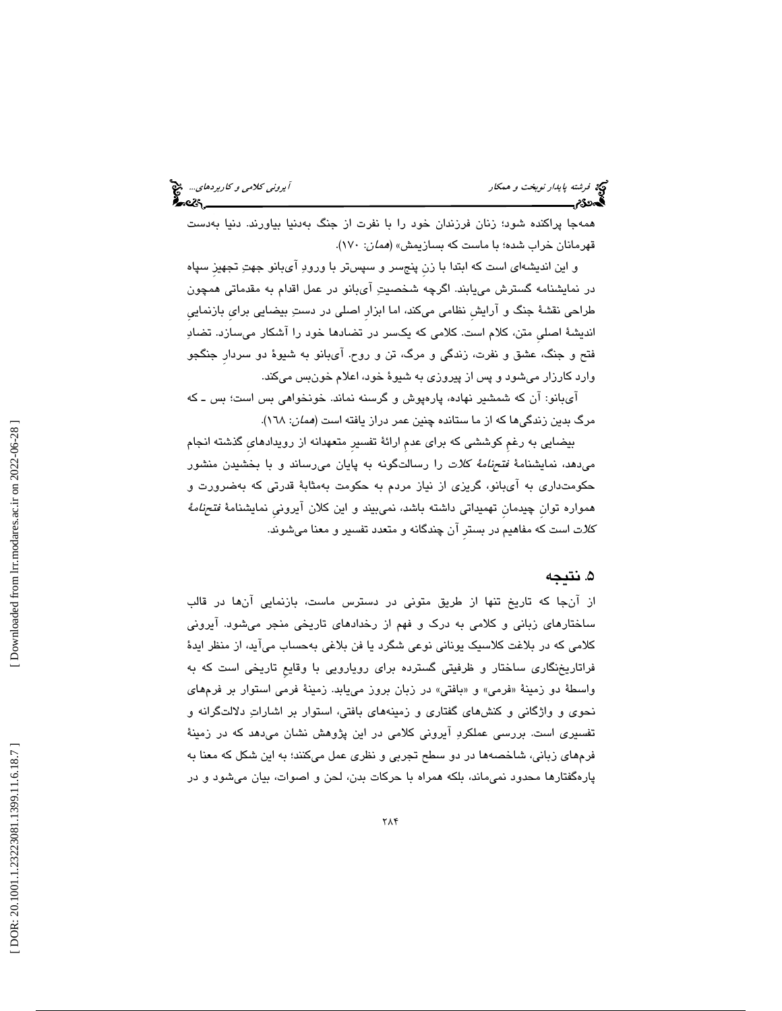| آیرونی کلامی و کاربردهای چخ<br>۱۳۵۵ - |
|---------------------------------------|
|                                       |

 همهجا پراكنده شود؛ زنان فرزندان خود را با نفرت از جنگ بهدنيا بياورند. دنيا بهدست قهرمانان خراب شده؛ با ماست كه بسازيمش» (همان: 170 ).

و اين انديشهاي است كه ابتدا با زنِ پنجسر و سپستر با ورود آيبانو جهت تجهيزِ سپاه در نمايشنامه گسترش مييابند. اگرچه شخصيت آيبانو در عمل اقدام به مقدماتي همچون طراحي نقشة جنگ و آرايشِ نظامي ميكند، اما ابزارِ اصلي در دست بيضايي برايِ بازنماييِ انديشة اصليِ متن، كلام است. كلامي كه يكسر در تضادها خود را آشكار ميسازد. تضاد فتح و جنگ، عشق و نفرت، زندگي و مرگ، تن و روح. آي بانو به شيوة دو سردارِ جنگجو وارد كارزار ميشود و پس از پيروزي به شيوة خود، اعلام خونبس ميكند.

 آي بانو: آن كه شمشير نهاده، پارهپوش و گرسنه نماند. خونخواهي بس است؛ بس ـ كه مرگ بدين زندگيها كه از ما ستانده چنين عمر دراز يافته است (*همان*: ١٦٨).

بيضايي به رغمِ كوششي كه براي عدمِ ارائة تفسيرِ متعهدانه از رويدادهايِ گذشته انجام ميدهد، نمايشنامة فتحنامة كلات را رسالتگونه به پايان ميرساند و با بخشيدن منشور حكومتداري به آيبانو، گريزي از نياز مردم به حكومت بهمثابة قدرتي كه بهضرورت و همواره توان چیدمان تهمیداتی داشته باشد، نمیبیند و این کلان آیرونی نمایشنامهٔ *فتحنامهٔ* كلات است كه مفاهيم در بسترِ آن چندگانه و متعدد تفسير و معنا ميشوند.

#### 5. نتيجه

از آنجا که تاريخ تنها از طريق متونی در دسترس ماست، بازنمايی آنها در قالب ساختارهاي زباني و كلامي به درك و فهم از رخدادهاي تاريخي منجر ميشود. آيروني كلامي كه در بلاغت كلاسيك يوناني نوعي شگرد يا فن بلاغي به حساب ميآيد، از منظر ايدة فراتاريخنگاري ساختار و ظرفيتي گسترده براي رويارويي با وقايعِ تاريخي است به كه واسطهٔ دو زمینهٔ «فرمی» و «بافتی» در زبان بروز مییابد. زمینهٔ فرمی استوار بر فرمهای نحوي و واژگاني و كنشهاي گفتاري و زمينههاي بافتي، استوار بر اشارات دلالتگرانه و تفسيري است. بررسي عملكرد آيروني كلامي رد اين پژوهش نشان ميدهد كه در زمينة فرمهاي زباني، ها شاخصه در دو سطح تجربي و نظري عمل ميكنند؛ به اين شكل كه معنا به پارهگفتارها محدود نميماند، بلكه همراه با حركات بدن، لحن و اصوات، بيان ميشود و در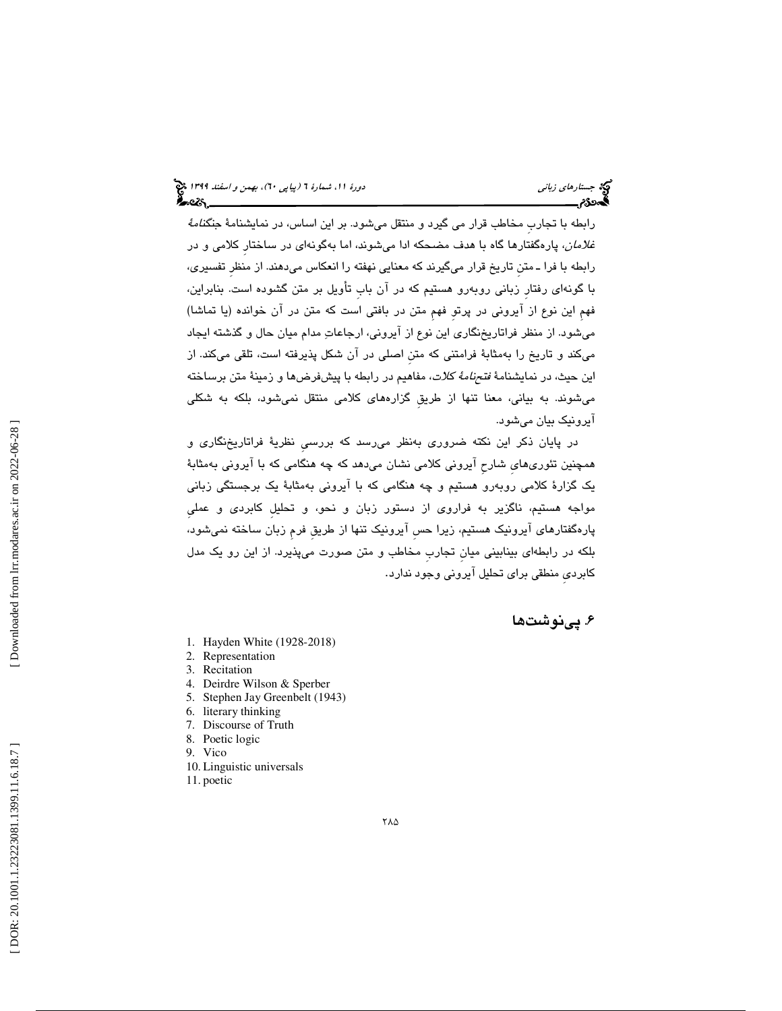رابطه با تجاربِ مخاطبِ قرار مي گيرد و منتقل ميشود. بر اين اساس، در نمايشنامهٔ ج*نگنامهٔ غلامان*، پارهگفتارها گاه با هدف مضحكه ادا ميشوند، اما بهگونهای در ساختار كلامی و در رابطه با فرا ـ متنِ تاريخ قرار ميگيرند كه معنايي نهفته را انعكاس ميدهند از. منظرِ تفسيري، با گونهاي رفتارِ زباني روبه رو هستيم كه در آن بابِ تأويل بر متن گشوده است. بنابراين، فهمِ اين نوع از آيروني در پرتوِ فهمِ متن در بافتي است كه متن در آن خوانده (يا تماشا) ميشود از. منظر فراتاريخنگاري اين نوع از آيروني، ارجاعات مدام ميان حال و گذشته ايجاد ميكند و تاريخ را بهمثابهٔ فرامتني كه متن اصلي در آن شكل پذيرفته است، تلقي ميكند. از اين حيث، در نمايشنامهٔ *فتحنامهٔ كلات*، مفاهيم در رابطه با پيشفرضها و زمينهٔ متن برساخته ميشوند. به بياني، معنا تنها از طريقِ گزارههاي كلامي منتقل نميشود، بلكه به شكلي آيرونيك بيان ميشود.

 در پايان ذكر اين نكته ضروري به نظر ميرسد كه بررسيِ نظرية فراتاريخنگاري و همچنین تئوریهایِ شارحِ آیرونی کلامی نشان می<mark>دهد که چه هنگامی که با آیرونی بهمثاب</mark>هٔ يك گزارة كلامي روبه رو هستيم و چه هنگامي با كه آيروني به مثابة يك برجستگي زباني مواجه هستيم، ناگزير به فراروي از دستور زبان و نحو، و تحليلِ كابردي و عمليِ پارهگفتارهای ایرونیک هستیم، زیرا حس ایرونیک تنها از طریق فرم زبان ساخته نمیشود، بلكه در رابطهاي بينابيني ميانِ تجاربِ مخاطب و متن صورت ميپذيرد از. اين رو يك مدل كابرديِ منطقي براي تحليل آيروني وجود ندارد .

### 6. پينوشت ها

- 1. Hayden White (1928-2018)
- 2. Representation
- 3. Recitation
- 4. Deirdre Wilson & Sperber
- 5. Stephen Jay Greenbelt (1943)
- 6. literary thinking
- 7. Discourse of Truth
- 8. Poetic logic
- 9. Vico
- 10. Linguistic universals
- 11. poetic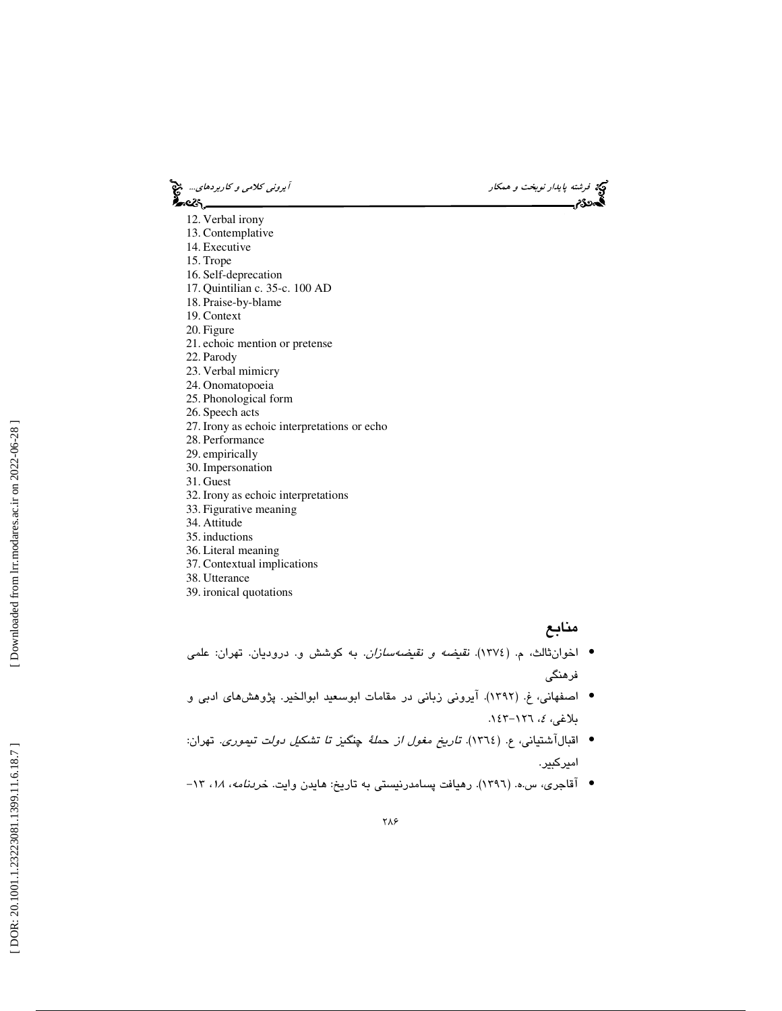فرشته پاي*دار نوبخت و همكار آيروني كلامي و كاربردهاي..*. في<mark>ن</mark><br>**آيده كاربردهاي... ايروني كلامي ايروني كلامي و كاربردهاي... في كاربردهاي... في كاربردهاي... في ايران كلامي ايران** ?∽વ્લ્ય

- 12. Verbal irony
- 13. Contemplative 14. Executive
- 15. Trope
- 16. Self-deprecation
- 17. Quintilian c. 35-c. 100 AD
- 18. Praise-by-blame
- 19. Context
- 20. Figure
- 21. echoic mention or pretense
- 22. Parody
- 23. Verbal mimicry
- 24. Onomatopoeia
- 25. Phonological form
- 26. Speech acts
- 27. Irony as echoic interpretations or echo
- 28. Performance
- 29. empirically
- 30. Impersonation
- 31. Guest
- 32. Irony as echoic interpretations
- 33. Figurative meaning
- 34. Attitude
- 35. inductions
- 36. Literal meaning
- 37. Contextual implications
- 38. Utterance
- 39. ironical quotations

#### منابع

- اخوانثالث، م. (١٣٧٤). *نقيضه و نقيضهسازان*. به كوشش و. دروديان. تهران: علمي فرهنگي
- اصفهاني، ( غ. 1392 .) آيروني زباني در مقامات ابوسعيد ابوالخير . پژوهشهاي ادبي و بلاغ*ی، ٤،* ١٢٦–١٤٣.
- اقبالآشتياني، ع. (١٣٦٤). ت*اريخ مغول از حملهٔ چنگيز تا تشكيل دولت تيموري*. تهران: اميركبير.
- آقاجری، س.ه. (١٣٩٦). رهيافت پسامدرنيستی به تاريخ: هايدن وايت. خ*ردنامه، ١٨*، ١٣-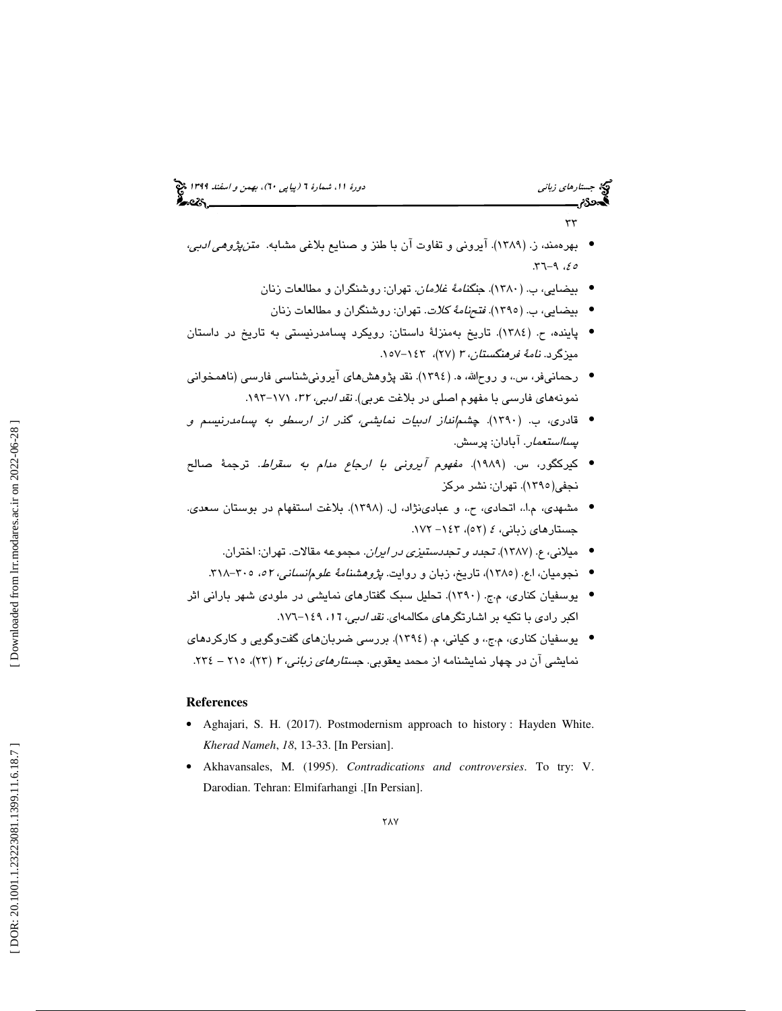## (پياپي 60)، بهمن و اسفند 1399 جستارهاي زباني دورة ،11 شمارة 6

 $\tau\tau$ 

 $-5 - 9.66$ 

- بهرهمند، ز. (۱۳۸۹). آيروني و تفاوت آن با طنز و صنايع بلاغي مشابه. *متنپژوهي ادبي،* 
	- بيضايي، ب. (١٣٨٠). جن*گنامهٔ غلامان.* تهران: روشنگران و مطالعات زنان
	- بيضايي، ب. (١٣٩٥). *فتحنامهٔ كلات*. تهران: روشنگران و مطالعات زنان
- پاينده، ( ح. 1384 . ) تاريخ بهمنزلة داستان: رويكرد پسامدرنيستي به تاريخ در داستان میزگرد. *نامهٔ فرهنگستان، ۳ (*۲۷)، ۱۶۳–۱۰۷.
- رحمانیفر، س.، و روحالله، ه. (١٣٩٤). نقد پژوهشهای آیرونیشناسی فارسی (ناهمخوانی نمونههای فارسی با مفهوم اصلی در بلاغت عربی). *نقد ادبی، ۳۲،* ۱۷۱–۱۹۳.
- قادری، ب. (١٣٩٠). چشم *ندان ادبيات نمايشي، گذر از ارسطو به پسامدرنيسم و پسااستعمار*. آبادان: پرسش.
- كيركگور، س. (١٩٨٩). *مفهوم آيرونى با ارجاع مدام به سقراط*. ترجمهٔ صالح نجفی(۱۳۹۰). تهران: نشر مرکز
- مشهدي، م.ا،. اتحادي، و ح،. عبادينژاد، ل. ( 1398 .) بلاغت استفهام در بوستان سعدي . جستارهای زبان*ی، ٤* (٥٢)، ۱٤٣– ۱۷۲.
	- ميلاني، ع. (١٣٨٧). ت*جدد و تجددستيزي در ايران*. مجموعه مقالات. تهران: اختران.
	- نجوميان، ا.ع. (١٣٨٥)، تاريخ، زبان و روايت. *پژوهشنامهٔ علومانساني، ٥٢ ه*، ٣٠٥-٣١٨.
- يوسفيان كناري، م.ج. ( 1390 .) تحليل سبك گفتارهاي نمايشي در ملودي شهر باراني اثر اكبر رادي با تكيه بر اشارتگرهاي مكالمهاي. *نقد ادبي، ١٦،* ٢٤٩-١٧٦.
- يوسفيان كناري، م.ج،. و كياني، م. ( 1394 . ) بررسي ضربانهاي گفتوگويي و كاركردهاي نمايشي آن در چهار نمايشنامه از محمد <mark>يعق</mark>وبي. *جستارهاي زباني، ۲* (۲۳)، ۲۰ – ۲۲۶.

#### **References**

- Aghajari, S. H. (2017). Postmodernism approach to history : Hayden White. *Kherad Nameh*, *18*, 13-33. [In Persian].
- Akhavansales, M. (1995). *Contradications and controversies*. To try: V. Darodian. Tehran: Elmifarhangi .[In Persian].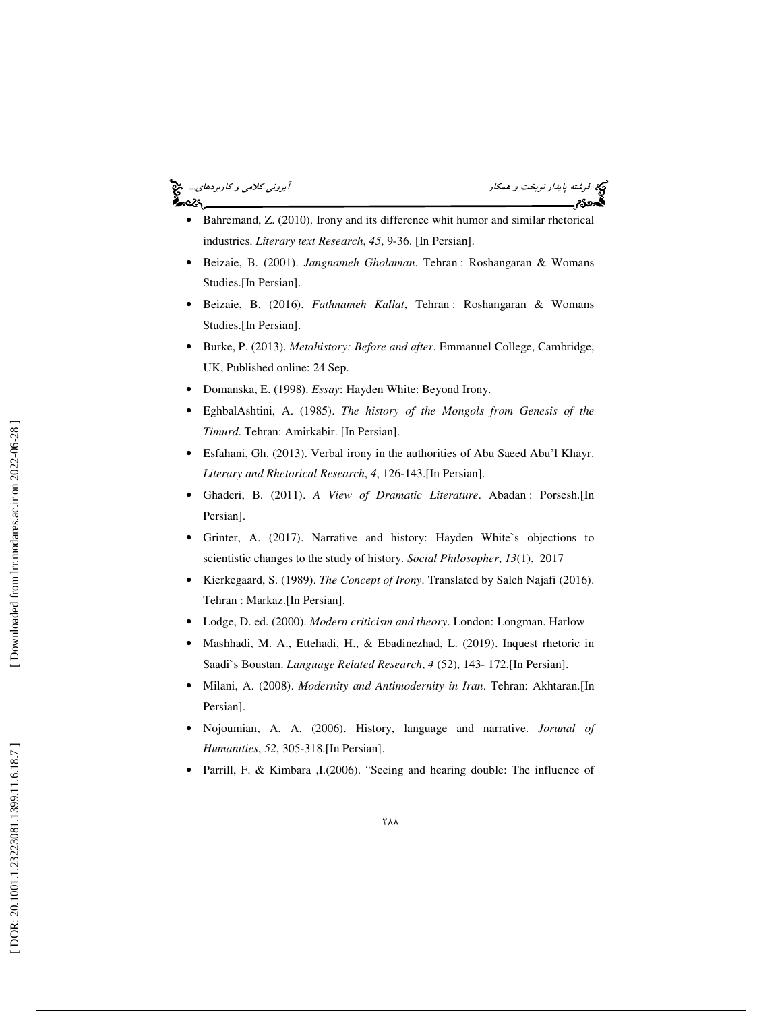## ેન્વ્ટર



- Bahremand, Z. (2010). Irony and its difference whit humor and similar rhetorical industries. *Literary text Research*, *45*, 9-36. [In Persian].
- Beizaie, B. (2001). *Jangnameh Gholaman*. Tehran : Roshangaran & Womans Studies.[In Persian].
- Beizaie, B. (2016). *Fathnameh Kallat*, Tehran : Roshangaran & Womans Studies.[In Persian].
- Burke, P. (2013). *Metahistory: Before and after*. Emmanuel College, Cambridge, UK, Published online: 24 Sep.
- Domanska, E. (1998). *Essay*: Hayden White: Beyond Irony.
- EghbalAshtini, A. (1985). *The history of the Mongols from Genesis of the Timurd*. Tehran: Amirkabir. [In Persian].
- Esfahani, Gh. (2013). Verbal irony in the authorities of Abu Saeed Abu'l Khayr. *Literary and Rhetorical Research*, *4*, 126-143.[In Persian].
- Ghaderi, B. (2011). *A View of Dramatic Literature*. Abadan : Porsesh.[In Persian].
- Grinter, A. (2017). Narrative and history: Hayden White`s objections to scientistic changes to the study of history. *Social Philosopher*, *13*(1), 2017
- Kierkegaard, S. (1989). *The Concept of Irony*. Translated by Saleh Najafi (2016). Tehran : Markaz.[In Persian].
- Lodge, D. ed. (2000). *Modern criticism and theory*. London: Longman. Harlow
- Mashhadi, M. A., Ettehadi, H., & Ebadinezhad, L. (2019). Inquest rhetoric in Saadi`s Boustan. *Language Related Research*, *4* (52), 143- 172.[In Persian].
- Milani, A. (2008). *Modernity and Antimodernity in Iran*. Tehran: Akhtaran.[In Persian].
- Nojoumian, A. A. (2006). History, language and narrative. *Jorunal of Humanities*, *52*, 305-318.[In Persian].
- Parrill, F. & Kimbara ,I.(2006). "Seeing and hearing double: The influence of